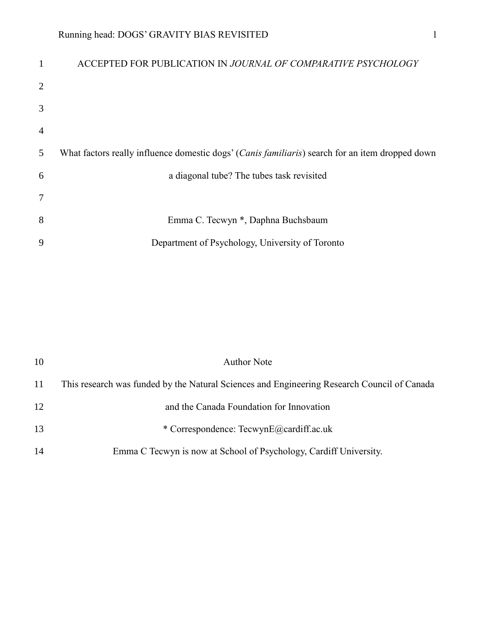| 1              | ACCEPTED FOR PUBLICATION IN JOURNAL OF COMPARATIVE PSYCHOLOGY                                            |
|----------------|----------------------------------------------------------------------------------------------------------|
| $\overline{2}$ |                                                                                                          |
| 3              |                                                                                                          |
| $\overline{4}$ |                                                                                                          |
| 5              | What factors really influence domestic dogs' ( <i>Canis familiaris</i> ) search for an item dropped down |
| 6              | a diagonal tube? The tubes task revisited                                                                |
| $\overline{7}$ |                                                                                                          |
| 8              | Emma C. Tecwyn *, Daphna Buchsbaum                                                                       |
| 9              | Department of Psychology, University of Toronto                                                          |

| 10 | <b>Author Note</b>                                                                          |
|----|---------------------------------------------------------------------------------------------|
| 11 | This research was funded by the Natural Sciences and Engineering Research Council of Canada |
| 12 | and the Canada Foundation for Innovation                                                    |
| 13 | * Correspondence: TecwynE@cardiff.ac.uk                                                     |
| 14 | Emma C Tecwyn is now at School of Psychology, Cardiff University.                           |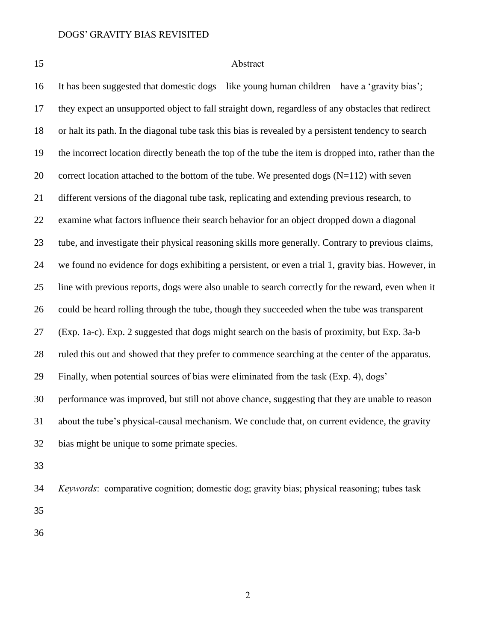# Abstract

 It has been suggested that domestic dogs—like young human children—have a 'gravity bias'; they expect an unsupported object to fall straight down, regardless of any obstacles that redirect or halt its path. In the diagonal tube task this bias is revealed by a persistent tendency to search the incorrect location directly beneath the top of the tube the item is dropped into, rather than the 20 correct location attached to the bottom of the tube. We presented dogs  $(N=112)$  with seven different versions of the diagonal tube task, replicating and extending previous research, to examine what factors influence their search behavior for an object dropped down a diagonal tube, and investigate their physical reasoning skills more generally. Contrary to previous claims, we found no evidence for dogs exhibiting a persistent, or even a trial 1, gravity bias. However, in line with previous reports, dogs were also unable to search correctly for the reward, even when it could be heard rolling through the tube, though they succeeded when the tube was transparent (Exp. 1a-c). Exp. 2 suggested that dogs might search on the basis of proximity, but Exp. 3a-b ruled this out and showed that they prefer to commence searching at the center of the apparatus. Finally, when potential sources of bias were eliminated from the task (Exp. 4), dogs' performance was improved, but still not above chance, suggesting that they are unable to reason about the tube's physical-causal mechanism. We conclude that, on current evidence, the gravity bias might be unique to some primate species.

*Keywords*: comparative cognition; domestic dog; gravity bias; physical reasoning; tubes task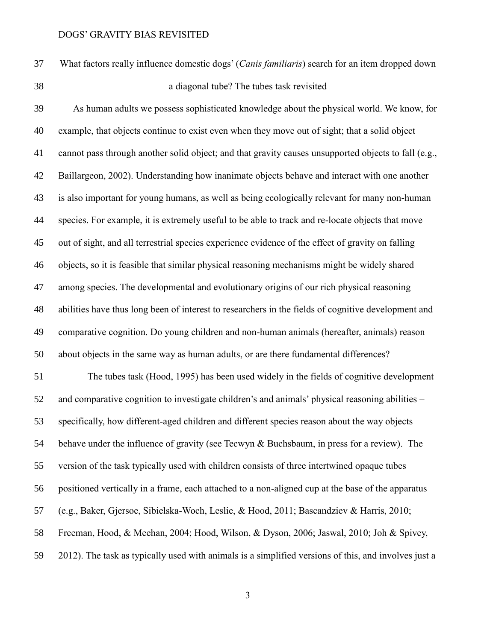What factors really influence domestic dogs' (*Canis familiaris*) search for an item dropped down a diagonal tube? The tubes task revisited

 As human adults we possess sophisticated knowledge about the physical world. We know, for example, that objects continue to exist even when they move out of sight; that a solid object cannot pass through another solid object; and that gravity causes unsupported objects to fall (e.g., Baillargeon, 2002). Understanding how inanimate objects behave and interact with one another is also important for young humans, as well as being ecologically relevant for many non-human species. For example, it is extremely useful to be able to track and re-locate objects that move out of sight, and all terrestrial species experience evidence of the effect of gravity on falling objects, so it is feasible that similar physical reasoning mechanisms might be widely shared among species. The developmental and evolutionary origins of our rich physical reasoning abilities have thus long been of interest to researchers in the fields of cognitive development and comparative cognition. Do young children and non-human animals (hereafter, animals) reason about objects in the same way as human adults, or are there fundamental differences?

 The tubes task (Hood, 1995) has been used widely in the fields of cognitive development and comparative cognition to investigate children's and animals' physical reasoning abilities – specifically, how different-aged children and different species reason about the way objects behave under the influence of gravity (see Tecwyn & Buchsbaum, in press for a review). The version of the task typically used with children consists of three intertwined opaque tubes positioned vertically in a frame, each attached to a non-aligned cup at the base of the apparatus (e.g., Baker, Gjersoe, Sibielska-Woch, Leslie, & Hood, 2011; Bascandziev & Harris, 2010; Freeman, Hood, & Meehan, 2004; Hood, Wilson, & Dyson, 2006; Jaswal, 2010; Joh & Spivey, 2012). The task as typically used with animals is a simplified versions of this, and involves just a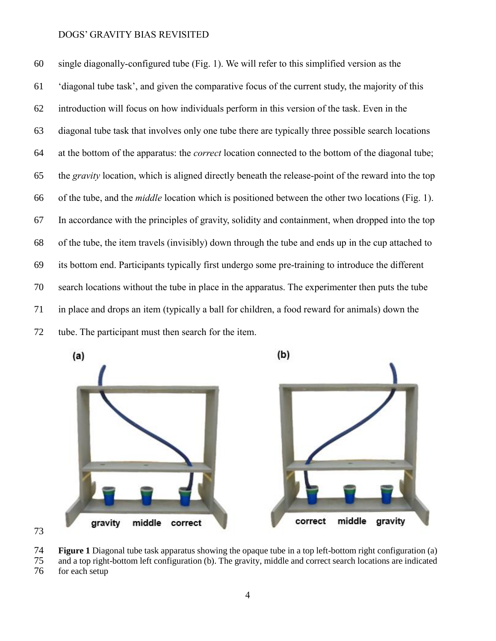single diagonally-configured tube (Fig. 1). We will refer to this simplified version as the 'diagonal tube task', and given the comparative focus of the current study, the majority of this introduction will focus on how individuals perform in this version of the task. Even in the diagonal tube task that involves only one tube there are typically three possible search locations at the bottom of the apparatus: the *correct* location connected to the bottom of the diagonal tube; the *gravity* location, which is aligned directly beneath the release-point of the reward into the top of the tube, and the *middle* location which is positioned between the other two locations (Fig. 1). In accordance with the principles of gravity, solidity and containment, when dropped into the top of the tube, the item travels (invisibly) down through the tube and ends up in the cup attached to its bottom end. Participants typically first undergo some pre-training to introduce the different search locations without the tube in place in the apparatus. The experimenter then puts the tube in place and drops an item (typically a ball for children, a food reward for animals) down the tube. The participant must then search for the item.





 **Figure 1** Diagonal tube task apparatus showing the opaque tube in a top left-bottom right configuration (a) and a top right-bottom left configuration (b). The gravity, middle and correct search locations are indicated

for each setup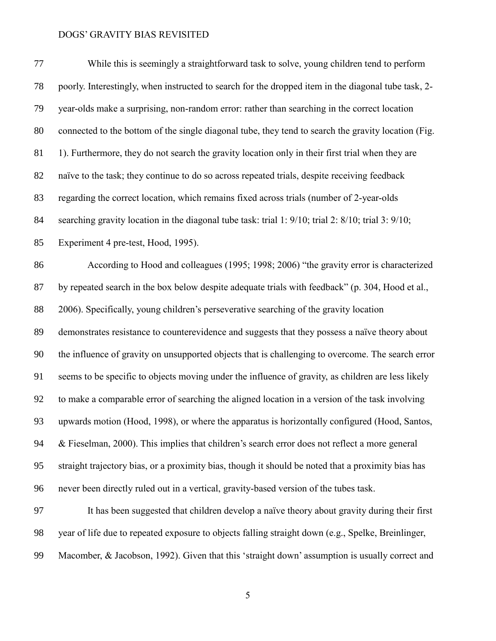| 77 | While this is seemingly a straightforward task to solve, young children tend to perform             |
|----|-----------------------------------------------------------------------------------------------------|
| 78 | poorly. Interestingly, when instructed to search for the dropped item in the diagonal tube task, 2- |
| 79 | year-olds make a surprising, non-random error: rather than searching in the correct location        |
| 80 | connected to the bottom of the single diagonal tube, they tend to search the gravity location (Fig. |
| 81 | 1). Furthermore, they do not search the gravity location only in their first trial when they are    |
| 82 | naïve to the task; they continue to do so across repeated trials, despite receiving feedback        |
| 83 | regarding the correct location, which remains fixed across trials (number of 2-year-olds            |
| 84 | searching gravity location in the diagonal tube task: trial 1: 9/10; trial 2: 8/10; trial 3: 9/10;  |
| 85 | Experiment 4 pre-test, Hood, 1995).                                                                 |
| 86 | According to Hood and colleagues (1995; 1998; 2006) "the gravity error is characterized             |
| 87 | by repeated search in the box below despite adequate trials with feedback" (p. 304, Hood et al.,    |
| 88 | 2006). Specifically, young children's perseverative searching of the gravity location               |
| 89 | demonstrates resistance to counterevidence and suggests that they possess a naïve theory about      |
| 90 | the influence of gravity on unsupported objects that is challenging to overcome. The search error   |
| 91 | seems to be specific to objects moving under the influence of gravity, as children are less likely  |
| 92 | to make a comparable error of searching the aligned location in a version of the task involving     |
| 93 | upwards motion (Hood, 1998), or where the apparatus is horizontally configured (Hood, Santos,       |
| 94 | & Fieselman, 2000). This implies that children's search error does not reflect a more general       |
| 95 | straight trajectory bias, or a proximity bias, though it should be noted that a proximity bias has  |
| 96 | never been directly ruled out in a vertical, gravity-based version of the tubes task.               |
| 97 | It has been suggested that children develop a naïve theory about gravity during their first         |
| 98 | year of life due to repeated exposure to objects falling straight down (e.g., Spelke, Breinlinger,  |

Macomber, & Jacobson, 1992). Given that this 'straight down' assumption is usually correct and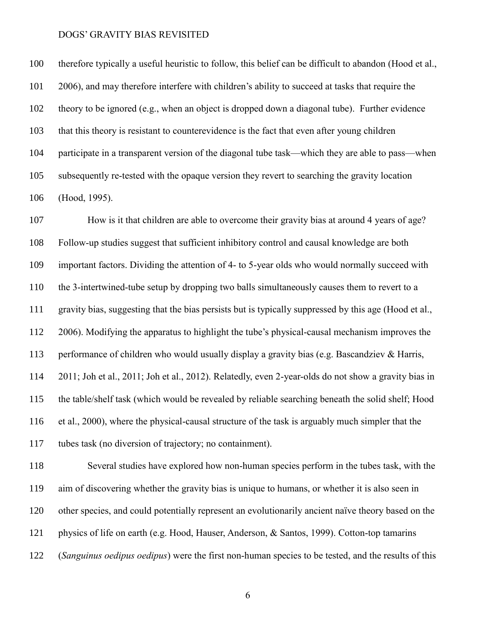therefore typically a useful heuristic to follow, this belief can be difficult to abandon (Hood et al., 2006), and may therefore interfere with children's ability to succeed at tasks that require the theory to be ignored (e.g., when an object is dropped down a diagonal tube). Further evidence that this theory is resistant to counterevidence is the fact that even after young children participate in a transparent version of the diagonal tube task—which they are able to pass—when subsequently re-tested with the opaque version they revert to searching the gravity location (Hood, 1995).

 How is it that children are able to overcome their gravity bias at around 4 years of age? Follow-up studies suggest that sufficient inhibitory control and causal knowledge are both important factors. Dividing the attention of 4- to 5-year olds who would normally succeed with the 3-intertwined-tube setup by dropping two balls simultaneously causes them to revert to a gravity bias, suggesting that the bias persists but is typically suppressed by this age (Hood et al., 2006). Modifying the apparatus to highlight the tube's physical-causal mechanism improves the performance of children who would usually display a gravity bias (e.g. Bascandziev & Harris, 2011; Joh et al., 2011; Joh et al., 2012). Relatedly, even 2-year-olds do not show a gravity bias in the table/shelf task (which would be revealed by reliable searching beneath the solid shelf; Hood et al., 2000), where the physical-causal structure of the task is arguably much simpler that the tubes task (no diversion of trajectory; no containment).

 Several studies have explored how non-human species perform in the tubes task, with the aim of discovering whether the gravity bias is unique to humans, or whether it is also seen in other species, and could potentially represent an evolutionarily ancient naïve theory based on the physics of life on earth (e.g. Hood, Hauser, Anderson, & Santos, 1999). Cotton-top tamarins (*Sanguinus oedipus oedipus*) were the first non-human species to be tested, and the results of this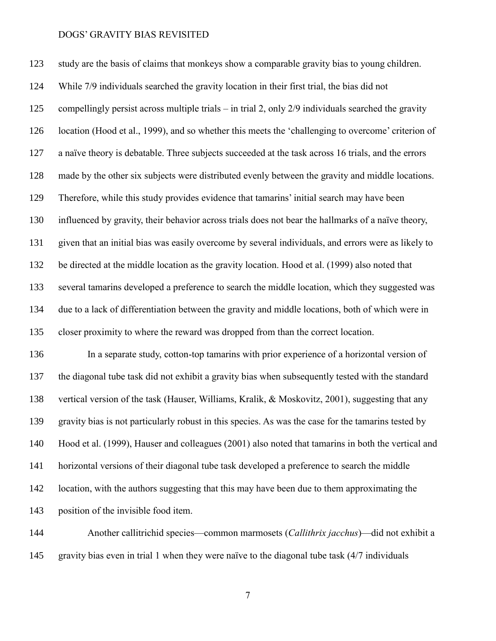study are the basis of claims that monkeys show a comparable gravity bias to young children. While 7/9 individuals searched the gravity location in their first trial, the bias did not compellingly persist across multiple trials – in trial 2, only 2/9 individuals searched the gravity location (Hood et al., 1999), and so whether this meets the 'challenging to overcome' criterion of a naïve theory is debatable. Three subjects succeeded at the task across 16 trials, and the errors made by the other six subjects were distributed evenly between the gravity and middle locations. Therefore, while this study provides evidence that tamarins' initial search may have been influenced by gravity, their behavior across trials does not bear the hallmarks of a naïve theory, given that an initial bias was easily overcome by several individuals, and errors were as likely to be directed at the middle location as the gravity location. Hood et al. (1999) also noted that several tamarins developed a preference to search the middle location, which they suggested was due to a lack of differentiation between the gravity and middle locations, both of which were in closer proximity to where the reward was dropped from than the correct location.

 In a separate study, cotton-top tamarins with prior experience of a horizontal version of the diagonal tube task did not exhibit a gravity bias when subsequently tested with the standard vertical version of the task (Hauser, Williams, Kralik, & Moskovitz, 2001), suggesting that any gravity bias is not particularly robust in this species. As was the case for the tamarins tested by Hood et al. (1999), Hauser and colleagues (2001) also noted that tamarins in both the vertical and horizontal versions of their diagonal tube task developed a preference to search the middle location, with the authors suggesting that this may have been due to them approximating the position of the invisible food item.

 Another callitrichid species—common marmosets (*Callithrix jacchus*)—did not exhibit a gravity bias even in trial 1 when they were naïve to the diagonal tube task (4/7 individuals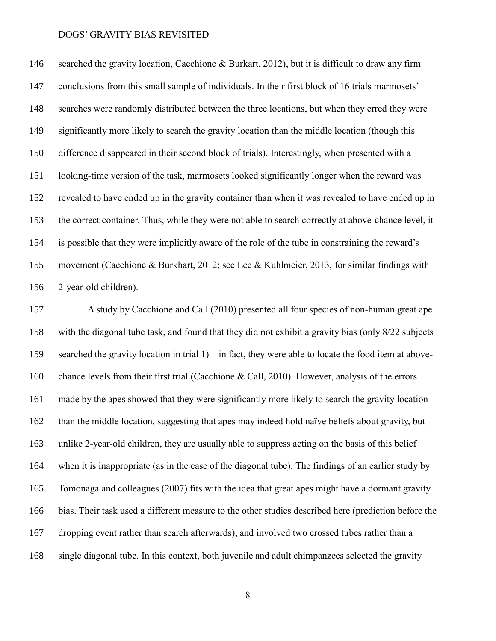146 searched the gravity location, Cacchione & Burkart, 2012), but it is difficult to draw any firm conclusions from this small sample of individuals. In their first block of 16 trials marmosets' searches were randomly distributed between the three locations, but when they erred they were significantly more likely to search the gravity location than the middle location (though this difference disappeared in their second block of trials). Interestingly, when presented with a looking-time version of the task, marmosets looked significantly longer when the reward was revealed to have ended up in the gravity container than when it was revealed to have ended up in the correct container. Thus, while they were not able to search correctly at above-chance level, it is possible that they were implicitly aware of the role of the tube in constraining the reward's movement (Cacchione & Burkhart, 2012; see Lee & Kuhlmeier, 2013, for similar findings with 2-year-old children).

 A study by Cacchione and Call (2010) presented all four species of non-human great ape with the diagonal tube task, and found that they did not exhibit a gravity bias (only 8/22 subjects searched the gravity location in trial 1) – in fact, they were able to locate the food item at above- chance levels from their first trial (Cacchione & Call, 2010). However, analysis of the errors made by the apes showed that they were significantly more likely to search the gravity location than the middle location, suggesting that apes may indeed hold naïve beliefs about gravity, but unlike 2-year-old children, they are usually able to suppress acting on the basis of this belief when it is inappropriate (as in the case of the diagonal tube). The findings of an earlier study by Tomonaga and colleagues (2007) fits with the idea that great apes might have a dormant gravity bias. Their task used a different measure to the other studies described here (prediction before the dropping event rather than search afterwards), and involved two crossed tubes rather than a single diagonal tube. In this context, both juvenile and adult chimpanzees selected the gravity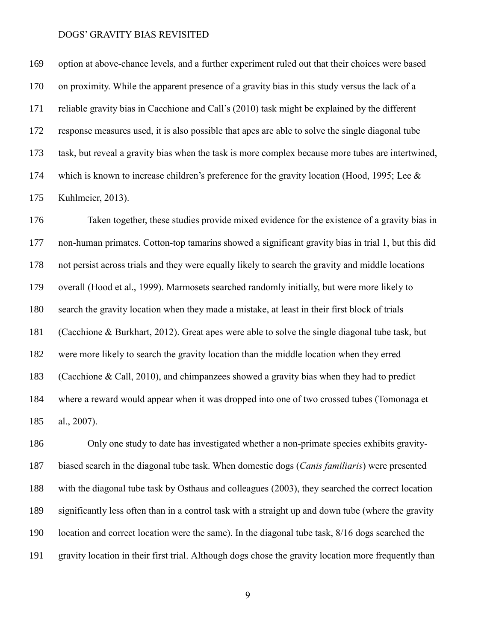option at above-chance levels, and a further experiment ruled out that their choices were based on proximity. While the apparent presence of a gravity bias in this study versus the lack of a reliable gravity bias in Cacchione and Call's (2010) task might be explained by the different response measures used, it is also possible that apes are able to solve the single diagonal tube task, but reveal a gravity bias when the task is more complex because more tubes are intertwined, 174 which is known to increase children's preference for the gravity location (Hood, 1995; Lee & Kuhlmeier, 2013).

 Taken together, these studies provide mixed evidence for the existence of a gravity bias in non-human primates. Cotton-top tamarins showed a significant gravity bias in trial 1, but this did not persist across trials and they were equally likely to search the gravity and middle locations overall (Hood et al., 1999). Marmosets searched randomly initially, but were more likely to search the gravity location when they made a mistake, at least in their first block of trials (Cacchione & Burkhart, 2012). Great apes were able to solve the single diagonal tube task, but were more likely to search the gravity location than the middle location when they erred (Cacchione & Call, 2010), and chimpanzees showed a gravity bias when they had to predict where a reward would appear when it was dropped into one of two crossed tubes (Tomonaga et al., 2007).

 Only one study to date has investigated whether a non-primate species exhibits gravity- biased search in the diagonal tube task. When domestic dogs (*Canis familiaris*) were presented with the diagonal tube task by Osthaus and colleagues (2003), they searched the correct location significantly less often than in a control task with a straight up and down tube (where the gravity location and correct location were the same). In the diagonal tube task, 8/16 dogs searched the gravity location in their first trial. Although dogs chose the gravity location more frequently than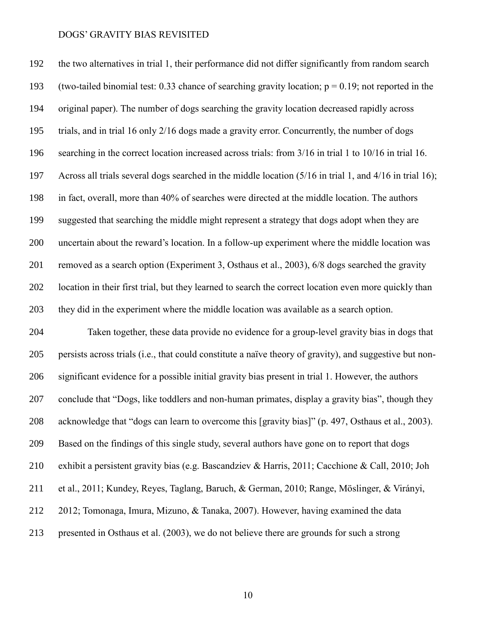the two alternatives in trial 1, their performance did not differ significantly from random search 193 (two-tailed binomial test: 0.33 chance of searching gravity location;  $p = 0.19$ ; not reported in the original paper). The number of dogs searching the gravity location decreased rapidly across trials, and in trial 16 only 2/16 dogs made a gravity error. Concurrently, the number of dogs searching in the correct location increased across trials: from 3/16 in trial 1 to 10/16 in trial 16. Across all trials several dogs searched in the middle location (5/16 in trial 1, and 4/16 in trial 16); in fact, overall, more than 40% of searches were directed at the middle location. The authors suggested that searching the middle might represent a strategy that dogs adopt when they are uncertain about the reward's location. In a follow-up experiment where the middle location was removed as a search option (Experiment 3, Osthaus et al., 2003), 6/8 dogs searched the gravity location in their first trial, but they learned to search the correct location even more quickly than they did in the experiment where the middle location was available as a search option. Taken together, these data provide no evidence for a group-level gravity bias in dogs that

 persists across trials (i.e., that could constitute a naïve theory of gravity), and suggestive but non- significant evidence for a possible initial gravity bias present in trial 1. However, the authors conclude that "Dogs, like toddlers and non-human primates, display a gravity bias", though they acknowledge that "dogs can learn to overcome this [gravity bias]" (p. 497, Osthaus et al., 2003). Based on the findings of this single study, several authors have gone on to report that dogs exhibit a persistent gravity bias (e.g. Bascandziev & Harris, 2011; Cacchione & Call, 2010; Joh et al., 2011; Kundey, Reyes, Taglang, Baruch, & German, 2010; Range, Möslinger, & Virányi, 2012; Tomonaga, Imura, Mizuno, & Tanaka, 2007). However, having examined the data presented in Osthaus et al. (2003), we do not believe there are grounds for such a strong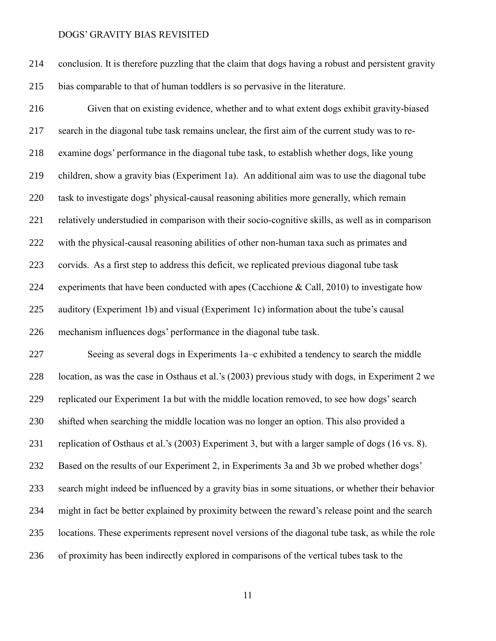conclusion. It is therefore puzzling that the claim that dogs having a robust and persistent gravity bias comparable to that of human toddlers is so pervasive in the literature.

 Given that on existing evidence, whether and to what extent dogs exhibit gravity-biased search in the diagonal tube task remains unclear, the first aim of the current study was to re- examine dogs' performance in the diagonal tube task, to establish whether dogs, like young children, show a gravity bias (Experiment 1a). An additional aim was to use the diagonal tube task to investigate dogs' physical-causal reasoning abilities more generally, which remain relatively understudied in comparison with their socio-cognitive skills, as well as in comparison with the physical-causal reasoning abilities of other non-human taxa such as primates and corvids. As a first step to address this deficit, we replicated previous diagonal tube task experiments that have been conducted with apes (Cacchione & Call, 2010) to investigate how auditory (Experiment 1b) and visual (Experiment 1c) information about the tube's causal mechanism influences dogs' performance in the diagonal tube task.

 Seeing as several dogs in Experiments 1a–c exhibited a tendency to search the middle location, as was the case in Osthaus et al.'s (2003) previous study with dogs, in Experiment 2 we replicated our Experiment 1a but with the middle location removed, to see how dogs' search shifted when searching the middle location was no longer an option. This also provided a replication of Osthaus et al.'s (2003) Experiment 3, but with a larger sample of dogs (16 vs. 8). Based on the results of our Experiment 2, in Experiments 3a and 3b we probed whether dogs' search might indeed be influenced by a gravity bias in some situations, or whether their behavior might in fact be better explained by proximity between the reward's release point and the search locations. These experiments represent novel versions of the diagonal tube task, as while the role of proximity has been indirectly explored in comparisons of the vertical tubes task to the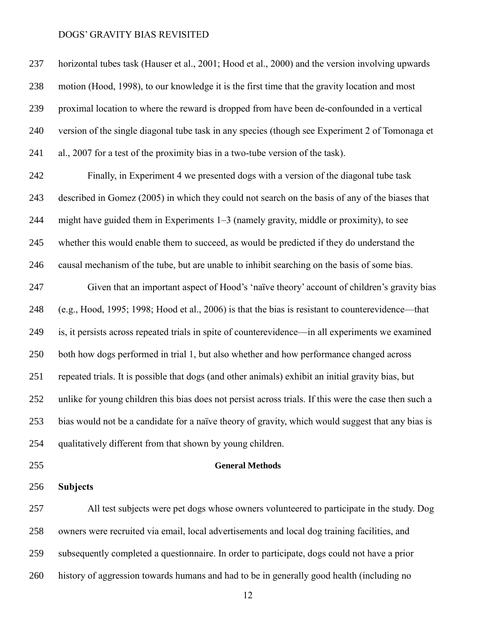horizontal tubes task (Hauser et al., 2001; Hood et al., 2000) and the version involving upwards motion (Hood, 1998), to our knowledge it is the first time that the gravity location and most proximal location to where the reward is dropped from have been de-confounded in a vertical version of the single diagonal tube task in any species (though see Experiment 2 of Tomonaga et al., 2007 for a test of the proximity bias in a two-tube version of the task).

 Finally, in Experiment 4 we presented dogs with a version of the diagonal tube task described in Gomez (2005) in which they could not search on the basis of any of the biases that might have guided them in Experiments 1–3 (namely gravity, middle or proximity), to see whether this would enable them to succeed, as would be predicted if they do understand the causal mechanism of the tube, but are unable to inhibit searching on the basis of some bias.

 Given that an important aspect of Hood's 'naïve theory' account of children's gravity bias (e.g., Hood, 1995; 1998; Hood et al., 2006) is that the bias is resistant to counterevidence—that is, it persists across repeated trials in spite of counterevidence—in all experiments we examined both how dogs performed in trial 1, but also whether and how performance changed across repeated trials. It is possible that dogs (and other animals) exhibit an initial gravity bias, but unlike for young children this bias does not persist across trials. If this were the case then such a bias would not be a candidate for a naïve theory of gravity, which would suggest that any bias is qualitatively different from that shown by young children.

# **General Methods**

**Subjects**

 All test subjects were pet dogs whose owners volunteered to participate in the study. Dog owners were recruited via email, local advertisements and local dog training facilities, and subsequently completed a questionnaire. In order to participate, dogs could not have a prior history of aggression towards humans and had to be in generally good health (including no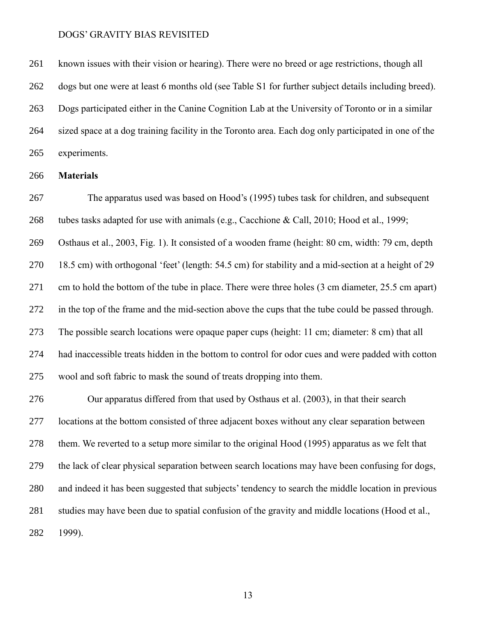known issues with their vision or hearing). There were no breed or age restrictions, though all dogs but one were at least 6 months old (see Table S1 for further subject details including breed). Dogs participated either in the Canine Cognition Lab at the University of Toronto or in a similar sized space at a dog training facility in the Toronto area. Each dog only participated in one of the experiments.

# **Materials**

 The apparatus used was based on Hood's (1995) tubes task for children, and subsequent tubes tasks adapted for use with animals (e.g., Cacchione & Call, 2010; Hood et al., 1999; Osthaus et al., 2003, Fig. 1). It consisted of a wooden frame (height: 80 cm, width: 79 cm, depth 18.5 cm) with orthogonal 'feet' (length: 54.5 cm) for stability and a mid-section at a height of 29 cm to hold the bottom of the tube in place. There were three holes (3 cm diameter, 25.5 cm apart) in the top of the frame and the mid-section above the cups that the tube could be passed through. The possible search locations were opaque paper cups (height: 11 cm; diameter: 8 cm) that all had inaccessible treats hidden in the bottom to control for odor cues and were padded with cotton wool and soft fabric to mask the sound of treats dropping into them.

 Our apparatus differed from that used by Osthaus et al. (2003), in that their search locations at the bottom consisted of three adjacent boxes without any clear separation between them. We reverted to a setup more similar to the original Hood (1995) apparatus as we felt that the lack of clear physical separation between search locations may have been confusing for dogs, and indeed it has been suggested that subjects' tendency to search the middle location in previous studies may have been due to spatial confusion of the gravity and middle locations (Hood et al., 1999).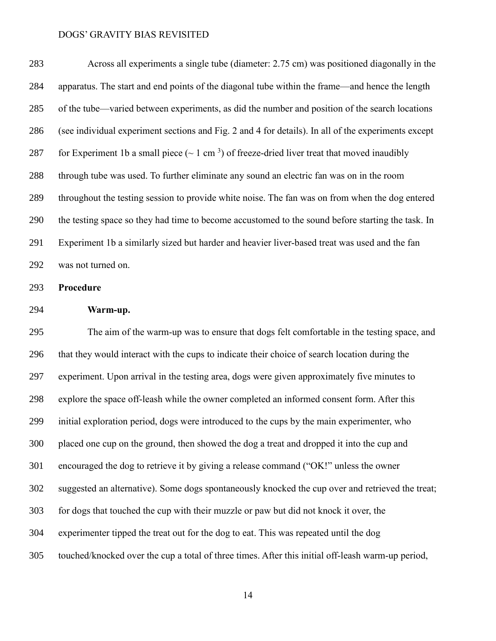| 283 | Across all experiments a single tube (diameter: 2.75 cm) was positioned diagonally in the                     |
|-----|---------------------------------------------------------------------------------------------------------------|
| 284 | apparatus. The start and end points of the diagonal tube within the frame—and hence the length                |
| 285 | of the tube—varied between experiments, as did the number and position of the search locations                |
| 286 | (see individual experiment sections and Fig. 2 and 4 for details). In all of the experiments except           |
| 287 | for Experiment 1b a small piece ( $\sim 1$ cm <sup>3</sup> ) of freeze-dried liver treat that moved inaudibly |
| 288 | through tube was used. To further eliminate any sound an electric fan was on in the room                      |
| 289 | throughout the testing session to provide white noise. The fan was on from when the dog entered               |
| 290 | the testing space so they had time to become accustomed to the sound before starting the task. In             |
| 291 | Experiment 1b a similarly sized but harder and heavier liver-based treat was used and the fan                 |
| 292 | was not turned on.                                                                                            |

**Procedure**

**Warm-up.**

 The aim of the warm-up was to ensure that dogs felt comfortable in the testing space, and that they would interact with the cups to indicate their choice of search location during the experiment. Upon arrival in the testing area, dogs were given approximately five minutes to explore the space off-leash while the owner completed an informed consent form. After this initial exploration period, dogs were introduced to the cups by the main experimenter, who placed one cup on the ground, then showed the dog a treat and dropped it into the cup and encouraged the dog to retrieve it by giving a release command ("OK!" unless the owner suggested an alternative). Some dogs spontaneously knocked the cup over and retrieved the treat; for dogs that touched the cup with their muzzle or paw but did not knock it over, the experimenter tipped the treat out for the dog to eat. This was repeated until the dog touched/knocked over the cup a total of three times. After this initial off-leash warm-up period,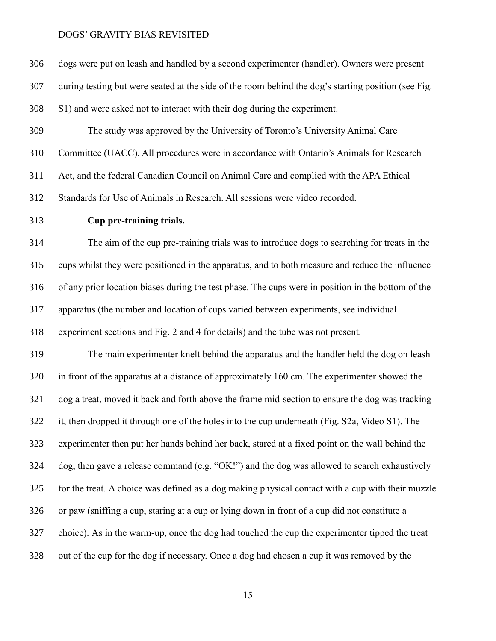| 306 | dogs were put on leash and handled by a second experimenter (handler). Owners were present          |
|-----|-----------------------------------------------------------------------------------------------------|
| 307 | during testing but were seated at the side of the room behind the dog's starting position (see Fig. |
| 308 | S1) and were asked not to interact with their dog during the experiment.                            |
| 309 | The study was approved by the University of Toronto's University Animal Care                        |
| 310 | Committee (UACC). All procedures were in accordance with Ontario's Animals for Research             |
| 311 | Act, and the federal Canadian Council on Animal Care and complied with the APA Ethical              |
| 312 | Standards for Use of Animals in Research. All sessions were video recorded.                         |
| 313 | Cup pre-training trials.                                                                            |
| 314 | The aim of the cup pre-training trials was to introduce dogs to searching for treats in the         |
| 315 | cups whilst they were positioned in the apparatus, and to both measure and reduce the influence     |
| 316 | of any prior location biases during the test phase. The cups were in position in the bottom of the  |
| 317 | apparatus (the number and location of cups varied between experiments, see individual               |
| 318 | experiment sections and Fig. 2 and 4 for details) and the tube was not present.                     |
| 319 | The main experimenter knelt behind the apparatus and the handler held the dog on leash              |
| 320 | in front of the apparatus at a distance of approximately 160 cm. The experimenter showed the        |
| 321 | dog a treat, moved it back and forth above the frame mid-section to ensure the dog was tracking     |
| 322 | it, then dropped it through one of the holes into the cup underneath (Fig. S2a, Video S1). The      |
| 323 | experimenter then put her hands behind her back, stared at a fixed point on the wall behind the     |
| 324 | dog, then gave a release command (e.g. "OK!") and the dog was allowed to search exhaustively        |
| 325 | for the treat. A choice was defined as a dog making physical contact with a cup with their muzzle   |
| 326 | or paw (sniffing a cup, staring at a cup or lying down in front of a cup did not constitute a       |
| 327 | choice). As in the warm-up, once the dog had touched the cup the experimenter tipped the treat      |
| 328 | out of the cup for the dog if necessary. Once a dog had chosen a cup it was removed by the          |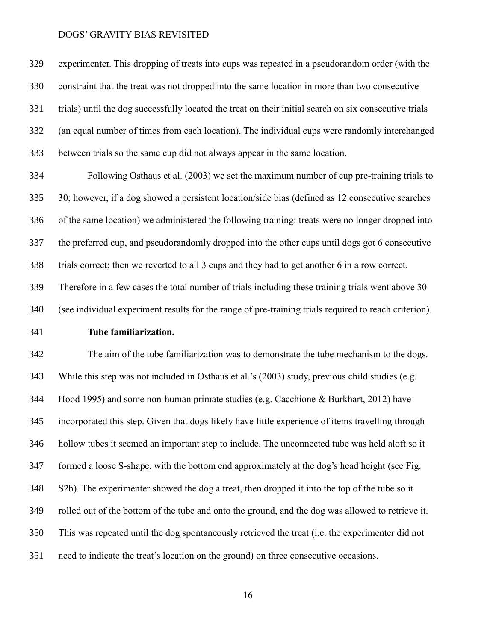experimenter. This dropping of treats into cups was repeated in a pseudorandom order (with the constraint that the treat was not dropped into the same location in more than two consecutive trials) until the dog successfully located the treat on their initial search on six consecutive trials (an equal number of times from each location). The individual cups were randomly interchanged between trials so the same cup did not always appear in the same location.

 Following Osthaus et al. (2003) we set the maximum number of cup pre-training trials to 30; however, if a dog showed a persistent location/side bias (defined as 12 consecutive searches of the same location) we administered the following training: treats were no longer dropped into the preferred cup, and pseudorandomly dropped into the other cups until dogs got 6 consecutive trials correct; then we reverted to all 3 cups and they had to get another 6 in a row correct. Therefore in a few cases the total number of trials including these training trials went above 30 (see individual experiment results for the range of pre-training trials required to reach criterion).

# **Tube familiarization.**

 The aim of the tube familiarization was to demonstrate the tube mechanism to the dogs. While this step was not included in Osthaus et al.'s (2003) study, previous child studies (e.g. Hood 1995) and some non-human primate studies (e.g. Cacchione & Burkhart, 2012) have incorporated this step. Given that dogs likely have little experience of items travelling through hollow tubes it seemed an important step to include. The unconnected tube was held aloft so it formed a loose S-shape, with the bottom end approximately at the dog's head height (see Fig. S2b). The experimenter showed the dog a treat, then dropped it into the top of the tube so it rolled out of the bottom of the tube and onto the ground, and the dog was allowed to retrieve it. This was repeated until the dog spontaneously retrieved the treat (i.e. the experimenter did not need to indicate the treat's location on the ground) on three consecutive occasions.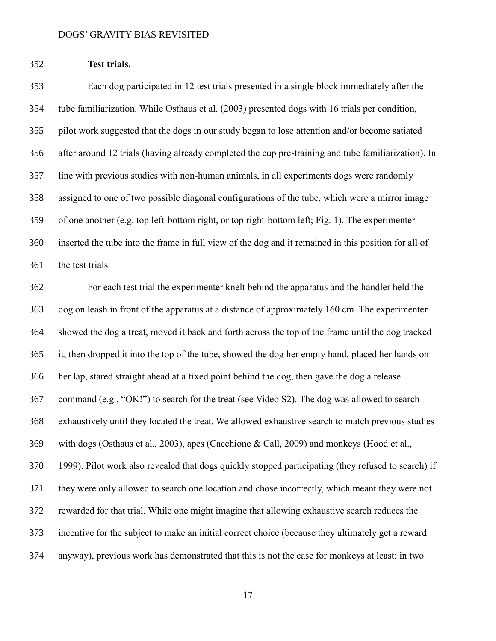**Test trials.**

 Each dog participated in 12 test trials presented in a single block immediately after the tube familiarization. While Osthaus et al. (2003) presented dogs with 16 trials per condition, pilot work suggested that the dogs in our study began to lose attention and/or become satiated after around 12 trials (having already completed the cup pre-training and tube familiarization). In line with previous studies with non-human animals, in all experiments dogs were randomly assigned to one of two possible diagonal configurations of the tube, which were a mirror image of one another (e.g. top left-bottom right, or top right-bottom left; Fig. 1). The experimenter inserted the tube into the frame in full view of the dog and it remained in this position for all of the test trials.

 For each test trial the experimenter knelt behind the apparatus and the handler held the dog on leash in front of the apparatus at a distance of approximately 160 cm. The experimenter showed the dog a treat, moved it back and forth across the top of the frame until the dog tracked it, then dropped it into the top of the tube, showed the dog her empty hand, placed her hands on her lap, stared straight ahead at a fixed point behind the dog, then gave the dog a release command (e.g., "OK!") to search for the treat (see Video S2). The dog was allowed to search exhaustively until they located the treat. We allowed exhaustive search to match previous studies with dogs (Osthaus et al., 2003), apes (Cacchione & Call, 2009) and monkeys (Hood et al., 1999). Pilot work also revealed that dogs quickly stopped participating (they refused to search) if they were only allowed to search one location and chose incorrectly, which meant they were not rewarded for that trial. While one might imagine that allowing exhaustive search reduces the incentive for the subject to make an initial correct choice (because they ultimately get a reward anyway), previous work has demonstrated that this is not the case for monkeys at least: in two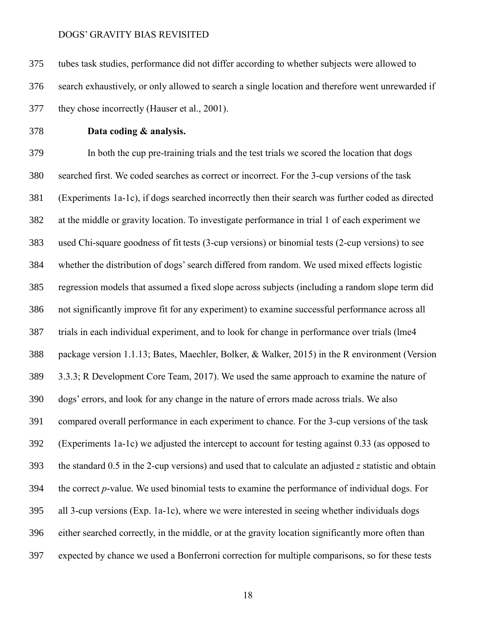tubes task studies, performance did not differ according to whether subjects were allowed to search exhaustively, or only allowed to search a single location and therefore went unrewarded if they chose incorrectly (Hauser et al., 2001).

# **Data coding & analysis.**

 In both the cup pre-training trials and the test trials we scored the location that dogs searched first. We coded searches as correct or incorrect. For the 3-cup versions of the task (Experiments 1a-1c), if dogs searched incorrectly then their search was further coded as directed at the middle or gravity location. To investigate performance in trial 1 of each experiment we used Chi-square goodness of fit tests (3-cup versions) or binomial tests (2-cup versions) to see whether the distribution of dogs' search differed from random. We used mixed effects logistic regression models that assumed a fixed slope across subjects (including a random slope term did not significantly improve fit for any experiment) to examine successful performance across all trials in each individual experiment, and to look for change in performance over trials (lme4 package version 1.1.13; Bates, Maechler, Bolker, & Walker, 2015) in the R environment (Version 3.3.3; R Development Core Team, 2017). We used the same approach to examine the nature of dogs' errors, and look for any change in the nature of errors made across trials. We also compared overall performance in each experiment to chance. For the 3-cup versions of the task (Experiments 1a-1c) we adjusted the intercept to account for testing against 0.33 (as opposed to the standard 0.5 in the 2-cup versions) and used that to calculate an adjusted *z* statistic and obtain the correct *p*-value. We used binomial tests to examine the performance of individual dogs. For all 3-cup versions (Exp. 1a-1c), where we were interested in seeing whether individuals dogs either searched correctly, in the middle, or at the gravity location significantly more often than expected by chance we used a Bonferroni correction for multiple comparisons, so for these tests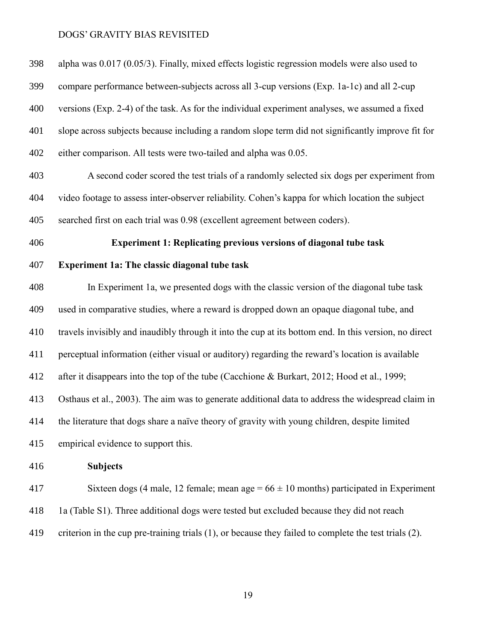| 398 | alpha was 0.017 (0.05/3). Finally, mixed effects logistic regression models were also used to               |
|-----|-------------------------------------------------------------------------------------------------------------|
| 399 | compare performance between-subjects across all 3-cup versions (Exp. 1a-1c) and all 2-cup                   |
| 400 | versions (Exp. 2-4) of the task. As for the individual experiment analyses, we assumed a fixed              |
| 401 | slope across subjects because including a random slope term did not significantly improve fit for           |
| 402 | either comparison. All tests were two-tailed and alpha was 0.05.                                            |
| 403 | A second coder scored the test trials of a randomly selected six dogs per experiment from                   |
| 404 | video footage to assess inter-observer reliability. Cohen's kappa for which location the subject            |
| 405 | searched first on each trial was 0.98 (excellent agreement between coders).                                 |
| 406 | <b>Experiment 1: Replicating previous versions of diagonal tube task</b>                                    |
| 407 | <b>Experiment 1a: The classic diagonal tube task</b>                                                        |
| 408 | In Experiment 1a, we presented dogs with the classic version of the diagonal tube task                      |
| 409 | used in comparative studies, where a reward is dropped down an opaque diagonal tube, and                    |
| 410 | travels invisibly and inaudibly through it into the cup at its bottom end. In this version, no direct       |
| 411 | perceptual information (either visual or auditory) regarding the reward's location is available             |
| 412 | after it disappears into the top of the tube (Cacchione & Burkart, 2012; Hood et al., 1999;                 |
| 413 | Osthaus et al., 2003). The aim was to generate additional data to address the widespread claim in           |
| 414 | the literature that dogs share a naïve theory of gravity with young children, despite limited               |
| 415 | empirical evidence to support this.                                                                         |
| 416 | <b>Subjects</b>                                                                                             |
| 417 | Sixteen dogs (4 male, 12 female; mean age = $66 \pm 10$ months) participated in Experiment                  |
| 418 | 1a (Table S1). Three additional dogs were tested but excluded because they did not reach                    |
| 419 | criterion in the cup pre-training trials $(1)$ , or because they failed to complete the test trials $(2)$ . |
|     |                                                                                                             |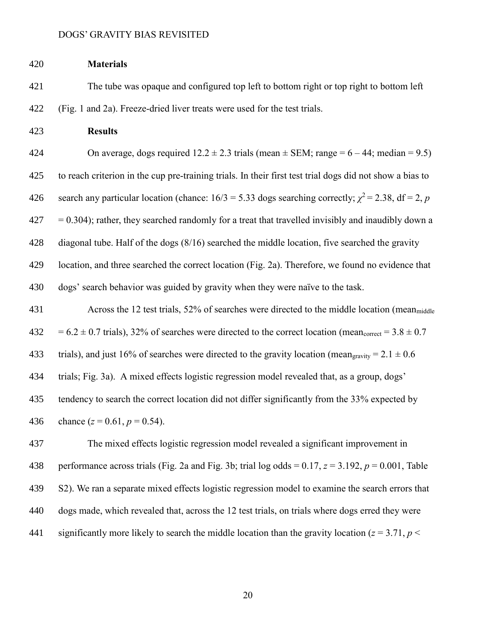# **Materials** The tube was opaque and configured top left to bottom right or top right to bottom left (Fig. 1 and 2a). Freeze-dried liver treats were used for the test trials.

**Results**

424 On average, dogs required  $12.2 \pm 2.3$  trials (mean  $\pm$  SEM; range = 6 – 44; median = 9.5) to reach criterion in the cup pre-training trials. In their first test trial dogs did not show a bias to 426 search any particular location (chance:  $16/3 = 5.33$  dogs searching correctly;  $\chi^2 = 2.38$ , df = 2, *p*  $427 = 0.304$ ; rather, they searched randomly for a treat that travelled invisibly and inaudibly down a diagonal tube. Half of the dogs (8/16) searched the middle location, five searched the gravity location, and three searched the correct location (Fig. 2a). Therefore, we found no evidence that dogs' search behavior was guided by gravity when they were naïve to the task.

 Across the 12 test trials, 52% of searches were directed to the middle location (meanmiddle  $432 = 6.2 \pm 0.7$  trials),  $32\%$  of searches were directed to the correct location (mean<sub>correct</sub> =  $3.8 \pm 0.7$ ) 433 trials), and just 16% of searches were directed to the gravity location (mean<sub>gravity</sub> =  $2.1 \pm 0.6$ ) trials; Fig. 3a). A mixed effects logistic regression model revealed that, as a group, dogs' tendency to search the correct location did not differ significantly from the 33% expected by 436 chance  $(z = 0.61, p = 0.54)$ .

 The mixed effects logistic regression model revealed a significant improvement in 438 performance across trials (Fig. 2a and Fig. 3b; trial log odds =  $0.17$ ,  $z = 3.192$ ,  $p = 0.001$ , Table S2). We ran a separate mixed effects logistic regression model to examine the search errors that dogs made, which revealed that, across the 12 test trials, on trials where dogs erred they were 441 significantly more likely to search the middle location than the gravity location ( $z = 3.71$ ,  $p <$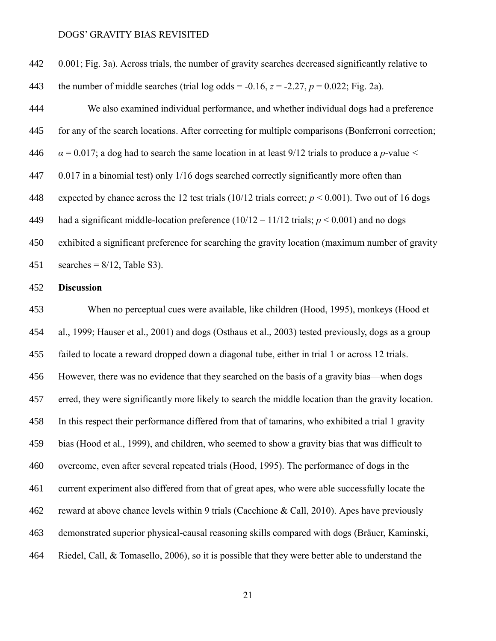| 442 | 0.001; Fig. 3a). Across trials, the number of gravity searches decreased significantly relative to     |
|-----|--------------------------------------------------------------------------------------------------------|
| 443 | the number of middle searches (trial log odds = -0.16, $z = -2.27$ , $p = 0.022$ ; Fig. 2a).           |
| 444 | We also examined individual performance, and whether individual dogs had a preference                  |
| 445 | for any of the search locations. After correcting for multiple comparisons (Bonferroni correction;     |
| 446 | $\alpha$ = 0.017; a dog had to search the same location in at least 9/12 trials to produce a p-value < |
| 447 | 0.017 in a binomial test) only 1/16 dogs searched correctly significantly more often than              |
| 448 | expected by chance across the 12 test trials (10/12 trials correct; $p < 0.001$ ). Two out of 16 dogs  |
| 449 | had a significant middle-location preference $(10/12 - 11/12 \text{ trials}; p < 0.001)$ and no dogs   |
| 450 | exhibited a significant preference for searching the gravity location (maximum number of gravity       |
| 451 | searches = $8/12$ , Table S3).                                                                         |

**Discussion**

 When no perceptual cues were available, like children (Hood, 1995), monkeys (Hood et al., 1999; Hauser et al., 2001) and dogs (Osthaus et al., 2003) tested previously, dogs as a group failed to locate a reward dropped down a diagonal tube, either in trial 1 or across 12 trials. However, there was no evidence that they searched on the basis of a gravity bias—when dogs erred, they were significantly more likely to search the middle location than the gravity location. In this respect their performance differed from that of tamarins, who exhibited a trial 1 gravity bias (Hood et al., 1999), and children, who seemed to show a gravity bias that was difficult to overcome, even after several repeated trials (Hood, 1995). The performance of dogs in the current experiment also differed from that of great apes, who were able successfully locate the reward at above chance levels within 9 trials (Cacchione & Call, 2010). Apes have previously demonstrated superior physical-causal reasoning skills compared with dogs (Bräuer, Kaminski, Riedel, Call, & Tomasello, 2006), so it is possible that they were better able to understand the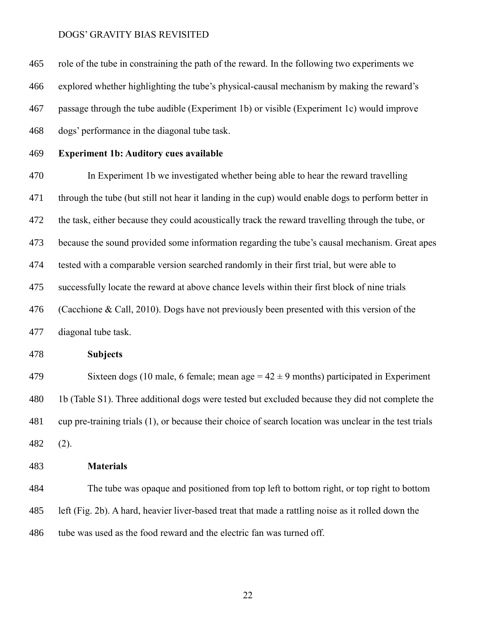role of the tube in constraining the path of the reward. In the following two experiments we explored whether highlighting the tube's physical-causal mechanism by making the reward's passage through the tube audible (Experiment 1b) or visible (Experiment 1c) would improve dogs' performance in the diagonal tube task.

**Experiment 1b: Auditory cues available**

 In Experiment 1b we investigated whether being able to hear the reward travelling through the tube (but still not hear it landing in the cup) would enable dogs to perform better in the task, either because they could acoustically track the reward travelling through the tube, or because the sound provided some information regarding the tube's causal mechanism. Great apes tested with a comparable version searched randomly in their first trial, but were able to successfully locate the reward at above chance levels within their first block of nine trials (Cacchione & Call, 2010). Dogs have not previously been presented with this version of the diagonal tube task.

**Subjects**

479 Sixteen dogs (10 male, 6 female; mean age  $= 42 \pm 9$  months) participated in Experiment 1b (Table S1). Three additional dogs were tested but excluded because they did not complete the cup pre-training trials (1), or because their choice of search location was unclear in the test trials (2).

# **Materials**

 The tube was opaque and positioned from top left to bottom right, or top right to bottom left (Fig. 2b). A hard, heavier liver-based treat that made a rattling noise as it rolled down the tube was used as the food reward and the electric fan was turned off.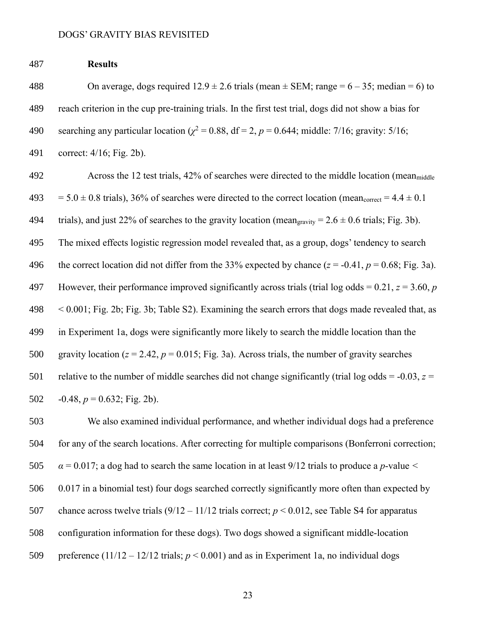# 487 **Results**

488 On average, dogs required  $12.9 \pm 2.6$  trials (mean  $\pm$  SEM; range = 6 – 35; median = 6) to 489 reach criterion in the cup pre-training trials. In the first test trial, dogs did not show a bias for 490 searching any particular location ( $\chi^2$  = 0.88, df = 2, *p* = 0.644; middle: 7/16; gravity: 5/16;

491 correct: 4/16; Fig. 2b).

492 Across the 12 test trials, 42% of searches were directed to the middle location (meanmiddle  $493 = 5.0 \pm 0.8$  trials), 36% of searches were directed to the correct location (mean<sub>correct</sub> = 4.4  $\pm$  0.1 494 trials), and just 22% of searches to the gravity location (mean<sub>gravity</sub> =  $2.6 \pm 0.6$  trials; Fig. 3b). 495 The mixed effects logistic regression model revealed that, as a group, dogs' tendency to search 496 the correct location did not differ from the 33% expected by chance  $(z = -0.41, p = 0.68; Fig. 3a)$ . 497 However, their performance improved significantly across trials (trial log odds = 0.21, *z* = 3.60, *p* 498 < 0.001; Fig. 2b; Fig. 3b; Table S2). Examining the search errors that dogs made revealed that, as 499 in Experiment 1a, dogs were significantly more likely to search the middle location than the 500 gravity location  $(z = 2.42, p = 0.015;$  Fig. 3a). Across trials, the number of gravity searches 501 relative to the number of middle searches did not change significantly (trial log odds =  $-0.03$ ,  $z =$ 502  $-0.48$ ,  $p = 0.632$ ; Fig. 2b).

 We also examined individual performance, and whether individual dogs had a preference for any of the search locations. After correcting for multiple comparisons (Bonferroni correction; *α* = 0.017; a dog had to search the same location in at least 9/12 trials to produce a *p*-value *<* 0.017 in a binomial test) four dogs searched correctly significantly more often than expected by chance across twelve trials (9/12 – 11/12 trials correct; *p* < 0.012, see Table S4 for apparatus configuration information for these dogs). Two dogs showed a significant middle-location 509 preference  $(11/12 - 12/12 \text{ trials}; p < 0.001)$  and as in Experiment 1a, no individual dogs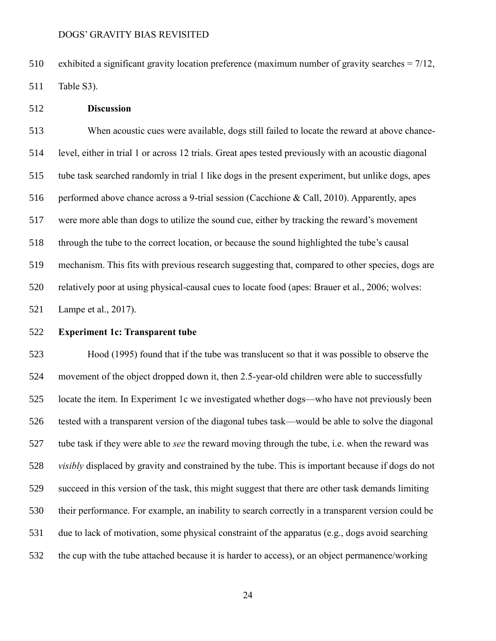exhibited a significant gravity location preference (maximum number of gravity searches = 7/12, Table S3).

**Discussion**

 When acoustic cues were available, dogs still failed to locate the reward at above chance- level, either in trial 1 or across 12 trials. Great apes tested previously with an acoustic diagonal tube task searched randomly in trial 1 like dogs in the present experiment, but unlike dogs, apes 516 performed above chance across a 9-trial session (Cacchione & Call, 2010). Apparently, apes were more able than dogs to utilize the sound cue, either by tracking the reward's movement through the tube to the correct location, or because the sound highlighted the tube's causal mechanism. This fits with previous research suggesting that, compared to other species, dogs are relatively poor at using physical-causal cues to locate food (apes: Brauer et al., 2006; wolves: Lampe et al., 2017).

**Experiment 1c: Transparent tube**

 Hood (1995) found that if the tube was translucent so that it was possible to observe the movement of the object dropped down it, then 2.5-year-old children were able to successfully locate the item. In Experiment 1c we investigated whether dogs—who have not previously been tested with a transparent version of the diagonal tubes task—would be able to solve the diagonal tube task if they were able to *see* the reward moving through the tube, i.e. when the reward was *visibly* displaced by gravity and constrained by the tube. This is important because if dogs do not succeed in this version of the task, this might suggest that there are other task demands limiting their performance. For example, an inability to search correctly in a transparent version could be due to lack of motivation, some physical constraint of the apparatus (e.g., dogs avoid searching the cup with the tube attached because it is harder to access), or an object permanence/working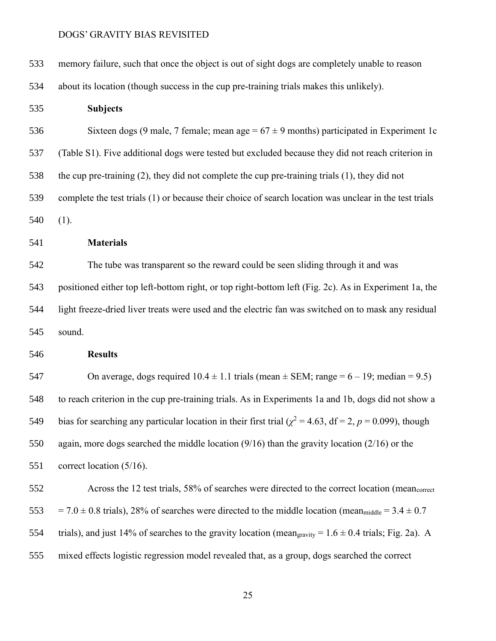| 533 | memory failure, such that once the object is out of sight dogs are completely unable to reason                         |
|-----|------------------------------------------------------------------------------------------------------------------------|
| 534 | about its location (though success in the cup pre-training trials makes this unlikely).                                |
| 535 | <b>Subjects</b>                                                                                                        |
| 536 | Sixteen dogs (9 male, 7 female; mean age = $67 \pm 9$ months) participated in Experiment 1c                            |
| 537 | (Table S1). Five additional dogs were tested but excluded because they did not reach criterion in                      |
| 538 | the cup pre-training $(2)$ , they did not complete the cup pre-training trials $(1)$ , they did not                    |
| 539 | complete the test trials (1) or because their choice of search location was unclear in the test trials                 |
| 540 | (1).                                                                                                                   |
| 541 | <b>Materials</b>                                                                                                       |
| 542 | The tube was transparent so the reward could be seen sliding through it and was                                        |
| 543 | positioned either top left-bottom right, or top right-bottom left (Fig. 2c). As in Experiment 1a, the                  |
| 544 | light freeze-dried liver treats were used and the electric fan was switched on to mask any residual                    |
| 545 | sound.                                                                                                                 |
| 546 | <b>Results</b>                                                                                                         |
| 547 | On average, dogs required $10.4 \pm 1.1$ trials (mean $\pm$ SEM; range = 6 – 19; median = 9.5)                         |
| 548 | to reach criterion in the cup pre-training trials. As in Experiments 1a and 1b, dogs did not show a                    |
| 549 | bias for searching any particular location in their first trial ( $\chi^2$ = 4.63, df = 2, p = 0.099), though          |
| 550 | again, more dogs searched the middle location $(9/16)$ than the gravity location $(2/16)$ or the                       |
| 551 | correct location $(5/16)$ .                                                                                            |
| 552 | Across the 12 test trials, 58% of searches were directed to the correct location (mean <sub>correct</sub>              |
| 553 | $= 7.0 \pm 0.8$ trials), 28% of searches were directed to the middle location (mean <sub>middle</sub> $= 3.4 \pm 0.7$  |
| 554 | trials), and just 14% of searches to the gravity location (mean <sub>gravity</sub> = $1.6 \pm 0.4$ trials; Fig. 2a). A |
| 555 | mixed effects logistic regression model revealed that, as a group, dogs searched the correct                           |
|     |                                                                                                                        |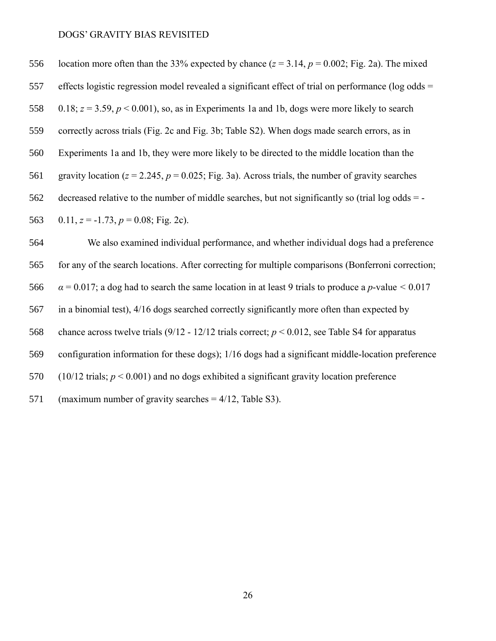556 location more often than the 33% expected by chance  $(z = 3.14, p = 0.002$ ; Fig. 2a). The mixed effects logistic regression model revealed a significant effect of trial on performance (log odds = 558 0.18;  $z = 3.59$ ,  $p < 0.001$ ), so, as in Experiments 1a and 1b, dogs were more likely to search correctly across trials (Fig. 2c and Fig. 3b; Table S2). When dogs made search errors, as in Experiments 1a and 1b, they were more likely to be directed to the middle location than the 561 gravity location  $(z = 2.245, p = 0.025$ ; Fig. 3a). Across trials, the number of gravity searches decreased relative to the number of middle searches, but not significantly so (trial log odds = - 563 0.11,  $z = -1.73$ ,  $p = 0.08$ ; Fig. 2c).

 We also examined individual performance, and whether individual dogs had a preference for any of the search locations. After correcting for multiple comparisons (Bonferroni correction;  $\alpha = 0.017$ ; a dog had to search the same location in at least 9 trials to produce a *p*-value  $\le 0.017$  in a binomial test), 4/16 dogs searched correctly significantly more often than expected by chance across twelve trials (9/12 - 12/12 trials correct; *p* < 0.012, see Table S4 for apparatus configuration information for these dogs); 1/16 dogs had a significant middle-location preference (10/12 trials; *p* < 0.001) and no dogs exhibited a significant gravity location preference (maximum number of gravity searches = 4/12, Table S3).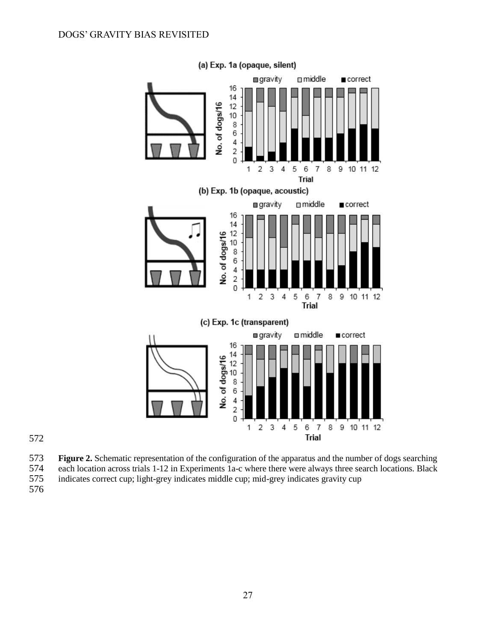

572

- 573 **Figure 2.** Schematic representation of the configuration of the apparatus and the number of dogs searching
- 574 each location across trials 1-12 in Experiments 1a-c where there were always three search locations. Black<br>575 indicates correct cup; light-grey indicates middle cup; mid-grey indicates gravity cup indicates correct cup; light-grey indicates middle cup; mid-grey indicates gravity cup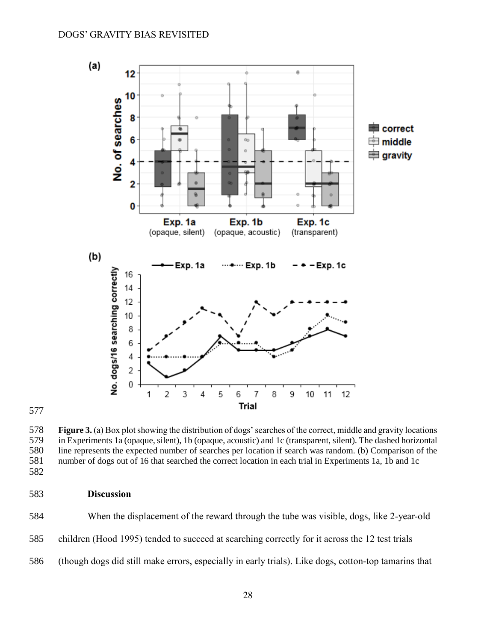

 **Figure 3.** (a) Box plot showing the distribution of dogs' searches of the correct, middle and gravity locations 579 in Experiments 1a (opaque, silent), 1b (opaque, acoustic) and 1c (transparent, silent). The dashed horizontal<br>580 line represents the expected number of searches per location if search was random. (b) Comparison of the 580 line represents the expected number of searches per location if search was random. (b) Comparison of the number of dogs out of 16 that searched the correct location in each trial in Experiments 1a, 1b and 1c number of dogs out of 16 that searched the correct location in each trial in Experiments 1a, 1b and 1c 

# **Discussion**

 When the displacement of the reward through the tube was visible, dogs, like 2-year-old children (Hood 1995) tended to succeed at searching correctly for it across the 12 test trials (though dogs did still make errors, especially in early trials). Like dogs, cotton-top tamarins that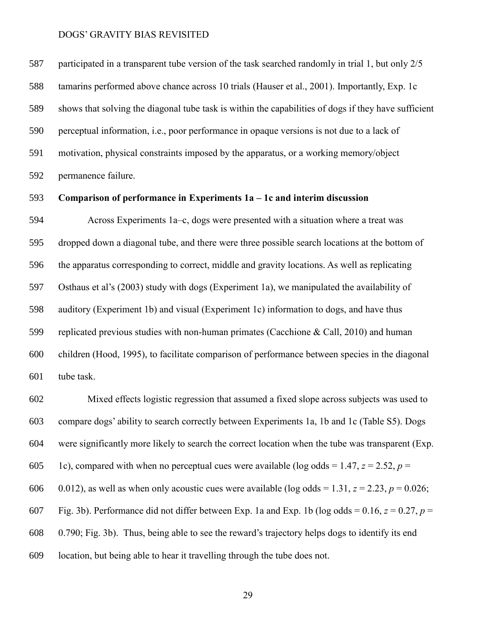participated in a transparent tube version of the task searched randomly in trial 1, but only 2/5 tamarins performed above chance across 10 trials (Hauser et al., 2001). Importantly, Exp. 1c shows that solving the diagonal tube task is within the capabilities of dogs if they have sufficient perceptual information, i.e., poor performance in opaque versions is not due to a lack of motivation, physical constraints imposed by the apparatus, or a working memory/object permanence failure.

# **Comparison of performance in Experiments 1a – 1c and interim discussion**

 Across Experiments 1a–c, dogs were presented with a situation where a treat was dropped down a diagonal tube, and there were three possible search locations at the bottom of the apparatus corresponding to correct, middle and gravity locations. As well as replicating Osthaus et al's (2003) study with dogs (Experiment 1a), we manipulated the availability of auditory (Experiment 1b) and visual (Experiment 1c) information to dogs, and have thus replicated previous studies with non-human primates (Cacchione & Call, 2010) and human children (Hood, 1995), to facilitate comparison of performance between species in the diagonal tube task.

 Mixed effects logistic regression that assumed a fixed slope across subjects was used to compare dogs' ability to search correctly between Experiments 1a, 1b and 1c (Table S5). Dogs were significantly more likely to search the correct location when the tube was transparent (Exp. 605 1c), compared with when no perceptual cues were available (log odds =  $1.47$ ,  $z = 2.52$ ,  $p =$ 606 0.012), as well as when only acoustic cues were available (log odds = 1.31,  $z = 2.23$ ,  $p = 0.026$ ; 607 Fig. 3b). Performance did not differ between Exp. 1a and Exp. 1b (log odds =  $0.16$ ,  $z = 0.27$ ,  $p =$  0.790; Fig. 3b). Thus, being able to see the reward's trajectory helps dogs to identify its end location, but being able to hear it travelling through the tube does not.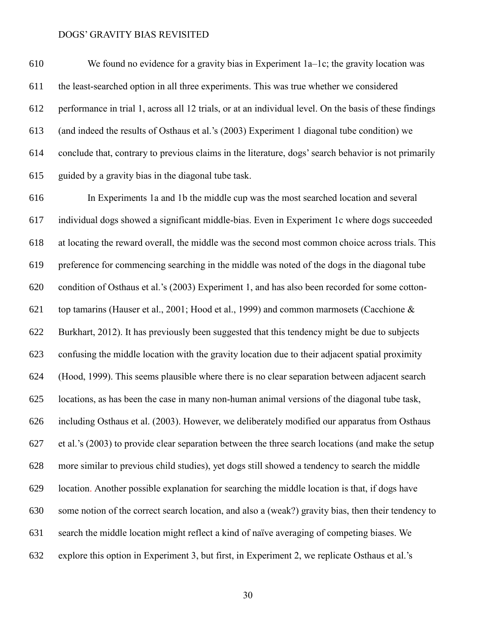We found no evidence for a gravity bias in Experiment 1a–1c; the gravity location was the least-searched option in all three experiments. This was true whether we considered performance in trial 1, across all 12 trials, or at an individual level. On the basis of these findings (and indeed the results of Osthaus et al.'s (2003) Experiment 1 diagonal tube condition) we conclude that, contrary to previous claims in the literature, dogs' search behavior is not primarily guided by a gravity bias in the diagonal tube task.

 In Experiments 1a and 1b the middle cup was the most searched location and several individual dogs showed a significant middle-bias. Even in Experiment 1c where dogs succeeded at locating the reward overall, the middle was the second most common choice across trials. This preference for commencing searching in the middle was noted of the dogs in the diagonal tube condition of Osthaus et al.'s (2003) Experiment 1, and has also been recorded for some cotton- top tamarins (Hauser et al., 2001; Hood et al., 1999) and common marmosets (Cacchione & Burkhart, 2012). It has previously been suggested that this tendency might be due to subjects confusing the middle location with the gravity location due to their adjacent spatial proximity (Hood, 1999). This seems plausible where there is no clear separation between adjacent search locations, as has been the case in many non-human animal versions of the diagonal tube task, including Osthaus et al. (2003). However, we deliberately modified our apparatus from Osthaus et al.'s (2003) to provide clear separation between the three search locations (and make the setup more similar to previous child studies), yet dogs still showed a tendency to search the middle location. Another possible explanation for searching the middle location is that, if dogs have some notion of the correct search location, and also a (weak?) gravity bias, then their tendency to search the middle location might reflect a kind of naïve averaging of competing biases. We explore this option in Experiment 3, but first, in Experiment 2, we replicate Osthaus et al.'s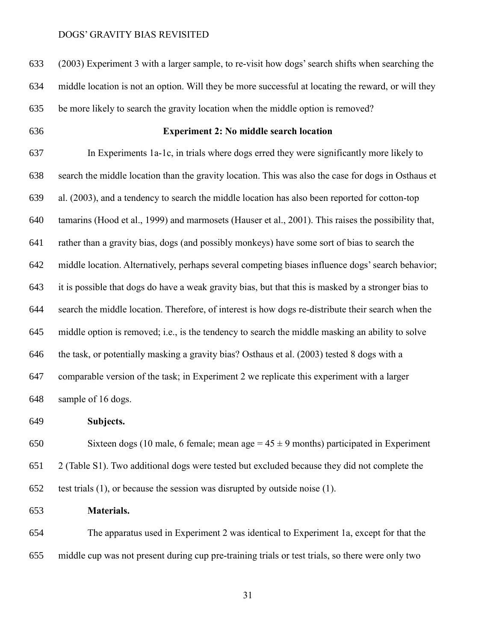(2003) Experiment 3 with a larger sample, to re-visit how dogs' search shifts when searching the middle location is not an option. Will they be more successful at locating the reward, or will they be more likely to search the gravity location when the middle option is removed?

# **Experiment 2: No middle search location**

 In Experiments 1a-1c, in trials where dogs erred they were significantly more likely to search the middle location than the gravity location. This was also the case for dogs in Osthaus et al. (2003), and a tendency to search the middle location has also been reported for cotton-top tamarins (Hood et al., 1999) and marmosets (Hauser et al., 2001). This raises the possibility that, rather than a gravity bias, dogs (and possibly monkeys) have some sort of bias to search the middle location. Alternatively, perhaps several competing biases influence dogs' search behavior; it is possible that dogs do have a weak gravity bias, but that this is masked by a stronger bias to search the middle location. Therefore, of interest is how dogs re-distribute their search when the middle option is removed; i.e., is the tendency to search the middle masking an ability to solve the task, or potentially masking a gravity bias? Osthaus et al. (2003) tested 8 dogs with a comparable version of the task; in Experiment 2 we replicate this experiment with a larger sample of 16 dogs.

**Subjects.**

650 Sixteen dogs (10 male, 6 female; mean age  $= 45 \pm 9$  months) participated in Experiment 2 (Table S1). Two additional dogs were tested but excluded because they did not complete the test trials (1), or because the session was disrupted by outside noise (1).

**Materials.**

 The apparatus used in Experiment 2 was identical to Experiment 1a, except for that the middle cup was not present during cup pre-training trials or test trials, so there were only two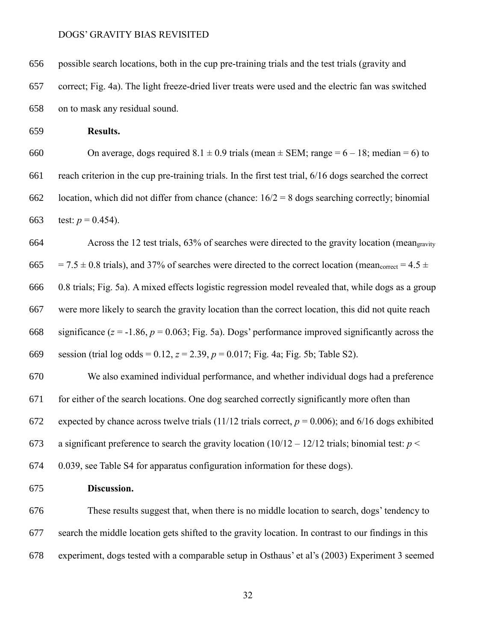possible search locations, both in the cup pre-training trials and the test trials (gravity and

 correct; Fig. 4a). The light freeze-dried liver treats were used and the electric fan was switched on to mask any residual sound.

**Results.**

660 On average, dogs required  $8.1 \pm 0.9$  trials (mean  $\pm$  SEM; range = 6 – 18; median = 6) to reach criterion in the cup pre-training trials. In the first test trial, 6/16 dogs searched the correct 662 location, which did not differ from chance (chance:  $16/2 = 8$  dogs searching correctly; binomial 663 test:  $p = 0.454$ ).

 Across the 12 test trials, 63% of searches were directed to the gravity location (meangravity 665 = 7.5  $\pm$  0.8 trials), and 37% of searches were directed to the correct location (mean<sub>correct</sub> = 4.5  $\pm$  0.8 trials; Fig. 5a). A mixed effects logistic regression model revealed that, while dogs as a group were more likely to search the gravity location than the correct location, this did not quite reach 668 significance  $(z = -1.86, p = 0.063$ ; Fig. 5a). Dogs' performance improved significantly across the session (trial log odds = 0.12, *z* = 2.39, *p* = 0.017; Fig. 4a; Fig. 5b; Table S2).

 We also examined individual performance, and whether individual dogs had a preference for either of the search locations. One dog searched correctly significantly more often than 672 expected by chance across twelve trials  $(11/12 \text{ trials correct}, p = 0.006)$ ; and  $6/16 \text{ dogs exhibited}$ 673 a significant preference to search the gravity location  $(10/12 - 12/12)$  trials; binomial test:  $p <$ 

0.039, see Table S4 for apparatus configuration information for these dogs).

**Discussion.**

 These results suggest that, when there is no middle location to search, dogs' tendency to search the middle location gets shifted to the gravity location. In contrast to our findings in this experiment, dogs tested with a comparable setup in Osthaus' et al's (2003) Experiment 3 seemed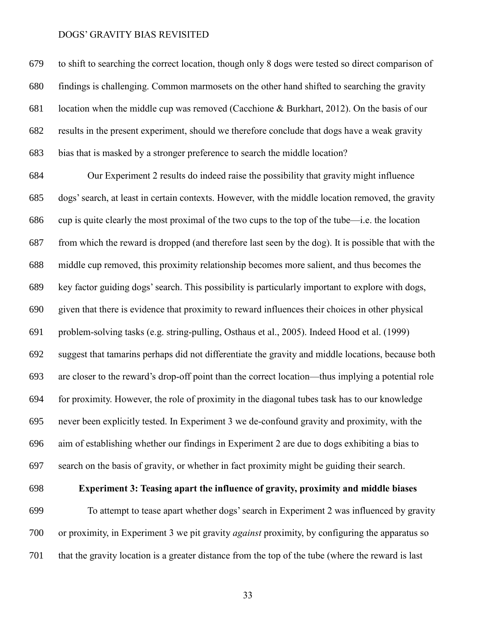to shift to searching the correct location, though only 8 dogs were tested so direct comparison of findings is challenging. Common marmosets on the other hand shifted to searching the gravity location when the middle cup was removed (Cacchione & Burkhart, 2012). On the basis of our results in the present experiment, should we therefore conclude that dogs have a weak gravity bias that is masked by a stronger preference to search the middle location?

 Our Experiment 2 results do indeed raise the possibility that gravity might influence dogs' search, at least in certain contexts. However, with the middle location removed, the gravity cup is quite clearly the most proximal of the two cups to the top of the tube—i.e. the location from which the reward is dropped (and therefore last seen by the dog). It is possible that with the middle cup removed, this proximity relationship becomes more salient, and thus becomes the key factor guiding dogs' search. This possibility is particularly important to explore with dogs, given that there is evidence that proximity to reward influences their choices in other physical problem-solving tasks (e.g. string-pulling, Osthaus et al., 2005). Indeed Hood et al. (1999) suggest that tamarins perhaps did not differentiate the gravity and middle locations, because both are closer to the reward's drop-off point than the correct location—thus implying a potential role for proximity. However, the role of proximity in the diagonal tubes task has to our knowledge never been explicitly tested. In Experiment 3 we de-confound gravity and proximity, with the aim of establishing whether our findings in Experiment 2 are due to dogs exhibiting a bias to search on the basis of gravity, or whether in fact proximity might be guiding their search.

# **Experiment 3: Teasing apart the influence of gravity, proximity and middle biases**

 To attempt to tease apart whether dogs' search in Experiment 2 was influenced by gravity or proximity, in Experiment 3 we pit gravity *against* proximity, by configuring the apparatus so that the gravity location is a greater distance from the top of the tube (where the reward is last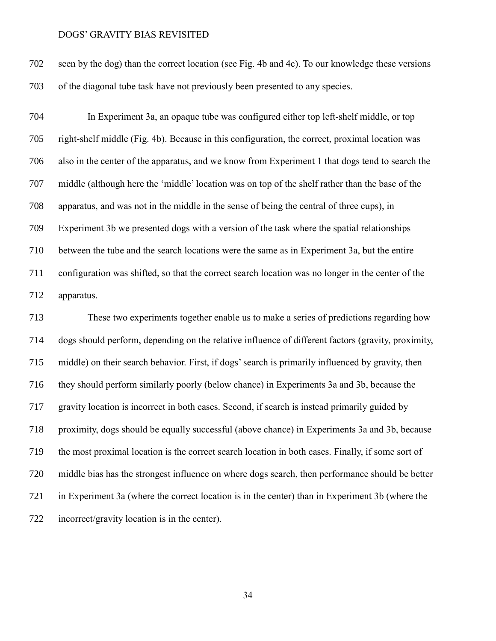seen by the dog) than the correct location (see Fig. 4b and 4c). To our knowledge these versions of the diagonal tube task have not previously been presented to any species.

 In Experiment 3a, an opaque tube was configured either top left-shelf middle, or top right-shelf middle (Fig. 4b). Because in this configuration, the correct, proximal location was also in the center of the apparatus, and we know from Experiment 1 that dogs tend to search the middle (although here the 'middle' location was on top of the shelf rather than the base of the apparatus, and was not in the middle in the sense of being the central of three cups), in Experiment 3b we presented dogs with a version of the task where the spatial relationships between the tube and the search locations were the same as in Experiment 3a, but the entire configuration was shifted, so that the correct search location was no longer in the center of the apparatus.

 These two experiments together enable us to make a series of predictions regarding how dogs should perform, depending on the relative influence of different factors (gravity, proximity, middle) on their search behavior. First, if dogs' search is primarily influenced by gravity, then they should perform similarly poorly (below chance) in Experiments 3a and 3b, because the gravity location is incorrect in both cases. Second, if search is instead primarily guided by proximity, dogs should be equally successful (above chance) in Experiments 3a and 3b, because the most proximal location is the correct search location in both cases. Finally, if some sort of middle bias has the strongest influence on where dogs search, then performance should be better in Experiment 3a (where the correct location is in the center) than in Experiment 3b (where the incorrect/gravity location is in the center).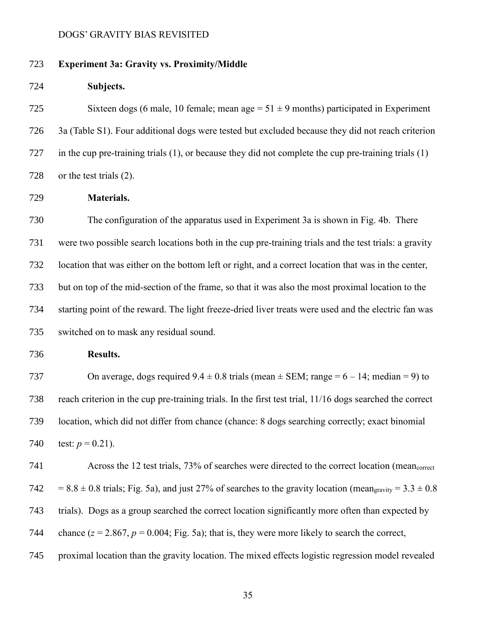# **Experiment 3a: Gravity vs. Proximity/Middle**

**Subjects.**

725 Sixteen dogs (6 male, 10 female; mean age  $= 51 \pm 9$  months) participated in Experiment 3a (Table S1). Four additional dogs were tested but excluded because they did not reach criterion in the cup pre-training trials (1), or because they did not complete the cup pre-training trials (1) or the test trials (2).

**Materials.**

 The configuration of the apparatus used in Experiment 3a is shown in Fig. 4b. There were two possible search locations both in the cup pre-training trials and the test trials: a gravity location that was either on the bottom left or right, and a correct location that was in the center, but on top of the mid-section of the frame, so that it was also the most proximal location to the starting point of the reward. The light freeze-dried liver treats were used and the electric fan was switched on to mask any residual sound.

**Results.**

737 On average, dogs required  $9.4 \pm 0.8$  trials (mean  $\pm$  SEM; range = 6 – 14; median = 9) to reach criterion in the cup pre-training trials. In the first test trial, 11/16 dogs searched the correct location, which did not differ from chance (chance: 8 dogs searching correctly; exact binomial 740 test:  $p = 0.21$ ).

 Across the 12 test trials, 73% of searches were directed to the correct location (meancorrect 742 = 8.8  $\pm$  0.8 trials; Fig. 5a), and just 27% of searches to the gravity location (mean<sub>gravity</sub> = 3.3  $\pm$  0.8 trials). Dogs as a group searched the correct location significantly more often than expected by 744 chance  $(z = 2.867, p = 0.004;$  Fig. 5a); that is, they were more likely to search the correct, proximal location than the gravity location. The mixed effects logistic regression model revealed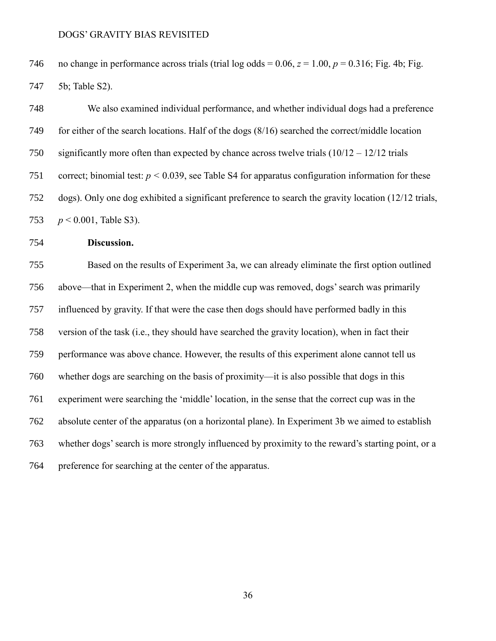746 no change in performance across trials (trial log odds =  $0.06$ ,  $z = 1.00$ ,  $p = 0.316$ ; Fig. 4b; Fig. 5b; Table S2).

 We also examined individual performance, and whether individual dogs had a preference for either of the search locations. Half of the dogs (8/16) searched the correct/middle location 750 significantly more often than expected by chance across twelve trials  $(10/12 - 12/12)$  trials 751 correct; binomial test:  $p < 0.039$ , see Table S4 for apparatus configuration information for these dogs). Only one dog exhibited a significant preference to search the gravity location (12/12 trials, *p* < 0.001, Table S3).

# **Discussion.**

 Based on the results of Experiment 3a, we can already eliminate the first option outlined above—that in Experiment 2, when the middle cup was removed, dogs' search was primarily influenced by gravity. If that were the case then dogs should have performed badly in this version of the task (i.e., they should have searched the gravity location), when in fact their performance was above chance. However, the results of this experiment alone cannot tell us whether dogs are searching on the basis of proximity—it is also possible that dogs in this experiment were searching the 'middle' location, in the sense that the correct cup was in the absolute center of the apparatus (on a horizontal plane). In Experiment 3b we aimed to establish whether dogs' search is more strongly influenced by proximity to the reward's starting point, or a preference for searching at the center of the apparatus.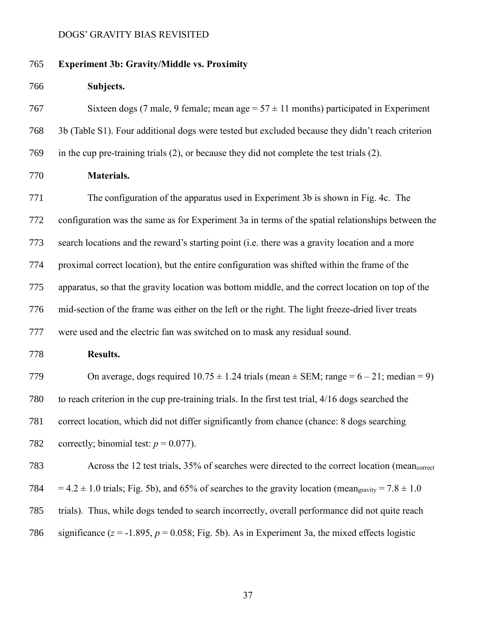# **Experiment 3b: Gravity/Middle vs. Proximity**

| 766 | Subjects. |
|-----|-----------|
|-----|-----------|

767 Sixteen dogs (7 male, 9 female; mean age  $= 57 \pm 11$  months) participated in Experiment 3b (Table S1). Four additional dogs were tested but excluded because they didn't reach criterion in the cup pre-training trials (2), or because they did not complete the test trials (2).

**Materials.**

 The configuration of the apparatus used in Experiment 3b is shown in Fig. 4c. The configuration was the same as for Experiment 3a in terms of the spatial relationships between the search locations and the reward's starting point (i.e. there was a gravity location and a more proximal correct location), but the entire configuration was shifted within the frame of the apparatus, so that the gravity location was bottom middle, and the correct location on top of the mid-section of the frame was either on the left or the right. The light freeze-dried liver treats were used and the electric fan was switched on to mask any residual sound.

**Results.**

779 On average, dogs required  $10.75 \pm 1.24$  trials (mean  $\pm$  SEM; range = 6 – 21; median = 9) to reach criterion in the cup pre-training trials. In the first test trial, 4/16 dogs searched the correct location, which did not differ significantly from chance (chance: 8 dogs searching 782 correctly; binomial test:  $p = 0.077$ ).

 Across the 12 test trials, 35% of searches were directed to the correct location (meancorrect 784 = 4.2  $\pm$  1.0 trials; Fig. 5b), and 65% of searches to the gravity location (mean<sub>gravity</sub> = 7.8  $\pm$  1.0 trials). Thus, while dogs tended to search incorrectly, overall performance did not quite reach 786 significance  $(z = -1.895, p = 0.058$ ; Fig. 5b). As in Experiment 3a, the mixed effects logistic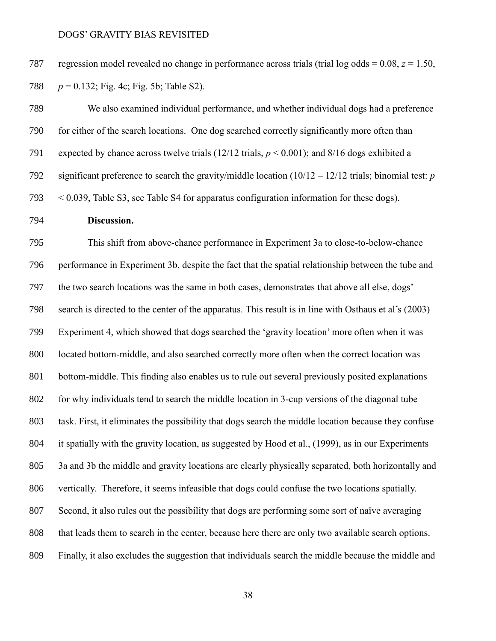regression model revealed no change in performance across trials (trial log odds = 0.08, *z* = 1.50, *p* = 0.132; Fig. 4c; Fig. 5b; Table S2).

 We also examined individual performance, and whether individual dogs had a preference for either of the search locations. One dog searched correctly significantly more often than expected by chance across twelve trials (12/12 trials, *p* < 0.001); and 8/16 dogs exhibited a significant preference to search the gravity/middle location (10/12 – 12/12 trials; binomial test: *p* < 0.039, Table S3, see Table S4 for apparatus configuration information for these dogs).

# **Discussion.**

 This shift from above-chance performance in Experiment 3a to close-to-below-chance performance in Experiment 3b, despite the fact that the spatial relationship between the tube and the two search locations was the same in both cases, demonstrates that above all else, dogs' search is directed to the center of the apparatus. This result is in line with Osthaus et al's (2003) Experiment 4, which showed that dogs searched the 'gravity location' more often when it was located bottom-middle, and also searched correctly more often when the correct location was bottom-middle. This finding also enables us to rule out several previously posited explanations for why individuals tend to search the middle location in 3-cup versions of the diagonal tube task. First, it eliminates the possibility that dogs search the middle location because they confuse it spatially with the gravity location, as suggested by Hood et al., (1999), as in our Experiments 3a and 3b the middle and gravity locations are clearly physically separated, both horizontally and vertically. Therefore, it seems infeasible that dogs could confuse the two locations spatially. Second, it also rules out the possibility that dogs are performing some sort of naïve averaging that leads them to search in the center, because here there are only two available search options. Finally, it also excludes the suggestion that individuals search the middle because the middle and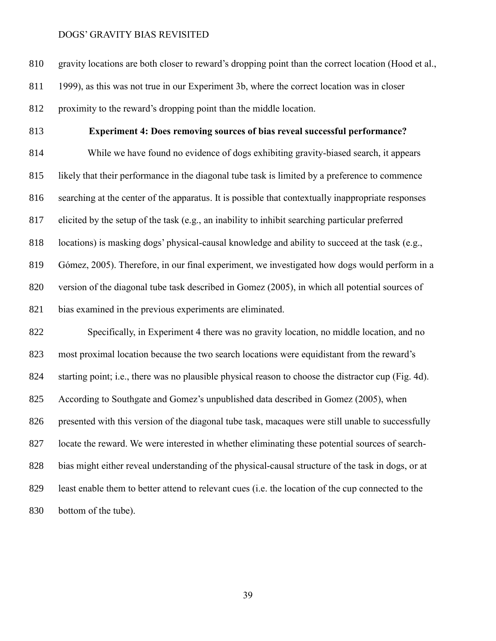gravity locations are both closer to reward's dropping point than the correct location (Hood et al., 1999), as this was not true in our Experiment 3b, where the correct location was in closer proximity to the reward's dropping point than the middle location.

# **Experiment 4: Does removing sources of bias reveal successful performance?**

 While we have found no evidence of dogs exhibiting gravity-biased search, it appears likely that their performance in the diagonal tube task is limited by a preference to commence searching at the center of the apparatus. It is possible that contextually inappropriate responses elicited by the setup of the task (e.g., an inability to inhibit searching particular preferred locations) is masking dogs' physical-causal knowledge and ability to succeed at the task (e.g., Gómez, 2005). Therefore, in our final experiment, we investigated how dogs would perform in a version of the diagonal tube task described in Gomez (2005), in which all potential sources of bias examined in the previous experiments are eliminated.

 Specifically, in Experiment 4 there was no gravity location, no middle location, and no most proximal location because the two search locations were equidistant from the reward's starting point; i.e., there was no plausible physical reason to choose the distractor cup (Fig. 4d). According to Southgate and Gomez's unpublished data described in Gomez (2005), when presented with this version of the diagonal tube task, macaques were still unable to successfully locate the reward. We were interested in whether eliminating these potential sources of search- bias might either reveal understanding of the physical-causal structure of the task in dogs, or at least enable them to better attend to relevant cues (i.e. the location of the cup connected to the bottom of the tube).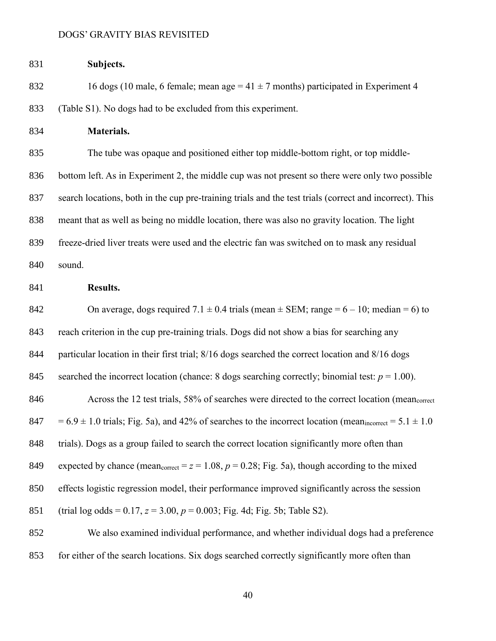| 831 | Subjects.                                                                                                       |
|-----|-----------------------------------------------------------------------------------------------------------------|
| 832 | 16 dogs (10 male, 6 female; mean age = $41 \pm 7$ months) participated in Experiment 4                          |
| 833 | (Table S1). No dogs had to be excluded from this experiment.                                                    |
| 834 | Materials.                                                                                                      |
| 835 | The tube was opaque and positioned either top middle-bottom right, or top middle-                               |
| 836 | bottom left. As in Experiment 2, the middle cup was not present so there were only two possible                 |
| 837 | search locations, both in the cup pre-training trials and the test trials (correct and incorrect). This         |
| 838 | meant that as well as being no middle location, there was also no gravity location. The light                   |
| 839 | freeze-dried liver treats were used and the electric fan was switched on to mask any residual                   |
| 840 | sound.                                                                                                          |
| 841 | Results.                                                                                                        |
| 842 | On average, dogs required $7.1 \pm 0.4$ trials (mean $\pm$ SEM; range = 6 – 10; median = 6) to                  |
| 843 | reach criterion in the cup pre-training trials. Dogs did not show a bias for searching any                      |
| 844 | particular location in their first trial; 8/16 dogs searched the correct location and 8/16 dogs                 |
| 845 | searched the incorrect location (chance: 8 dogs searching correctly; binomial test: $p = 1.00$ ).               |
| 846 | Across the 12 test trials, 58% of searches were directed to the correct location (meancorrect                   |
| 847 | $= 6.9 \pm 1.0$ trials; Fig. 5a), and 42% of searches to the incorrect location (mean incorrect = 5.1 $\pm$ 1.0 |
| 848 | trials). Dogs as a group failed to search the correct location significantly more often than                    |
| 849 | expected by chance (mean <sub>correct</sub> = $z = 1.08$ , $p = 0.28$ ; Fig. 5a), though according to the mixed |
| 850 | effects logistic regression model, their performance improved significantly across the session                  |
| 851 | (trial log odds = $0.17$ , $z = 3.00$ , $p = 0.003$ ; Fig. 4d; Fig. 5b; Table S2).                              |
| 852 | We also examined individual performance, and whether individual dogs had a preference                           |
| 853 | for either of the search locations. Six dogs searched correctly significantly more often than                   |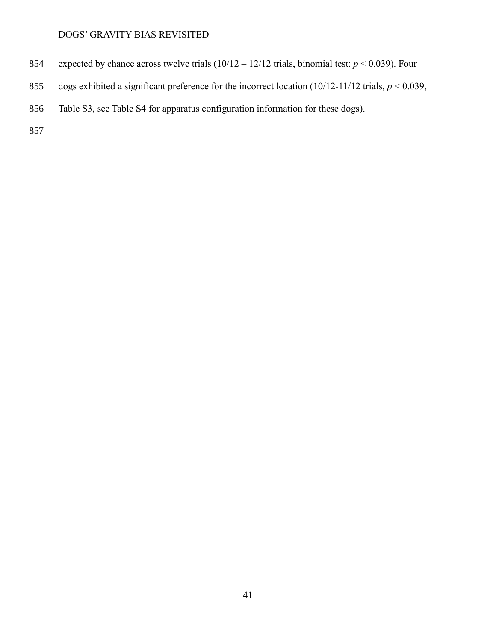- 854 expected by chance across twelve trials  $(10/12 12/12)$  trials, binomial test:  $p < 0.039$ ). Four
- 855 dogs exhibited a significant preference for the incorrect location  $(10/12-11/12 \text{ trials}, p < 0.039,$
- 856 Table S3, see Table S4 for apparatus configuration information for these dogs).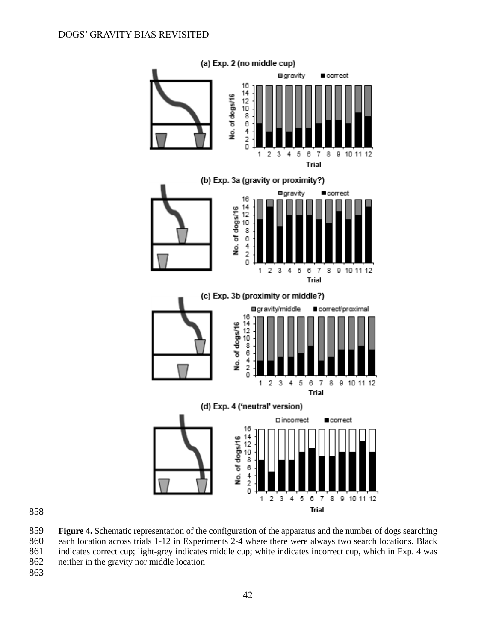

 **Figure 4.** Schematic representation of the configuration of the apparatus and the number of dogs searching 860 each location across trials 1-12 in Experiments 2-4 where there were always two search locations. Black 861 indicates correct cup; light-grey indicates middle cup; white indicates incorrect cup, which in Exp. 4 was neither in the gravity nor middle location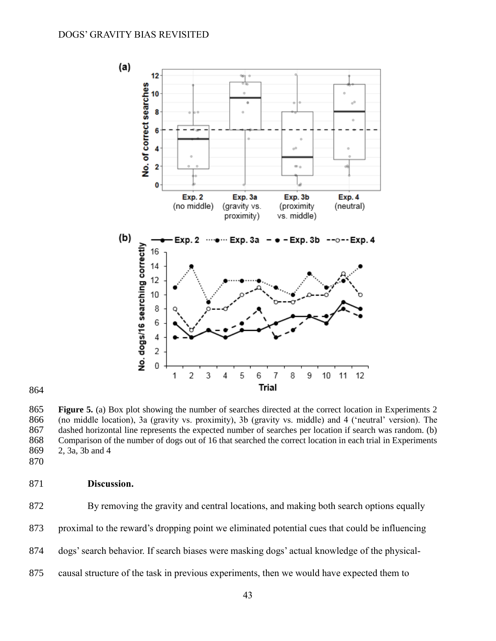

 **Figure 5.** (a) Box plot showing the number of searches directed at the correct location in Experiments 2 (no middle location), 3a (gravity vs. proximity), 3b (gravity vs. middle) and 4 ('neutral' version). The dashed horizontal line represents the expected number of searches per location if search was random. (b) Comparison of the number of dogs out of 16 that searched the correct location in each trial in Experiments 2, 3a, 3b and 4

# **Discussion.**

By removing the gravity and central locations, and making both search options equally

proximal to the reward's dropping point we eliminated potential cues that could be influencing

- dogs' search behavior. If search biases were masking dogs' actual knowledge of the physical-
- causal structure of the task in previous experiments, then we would have expected them to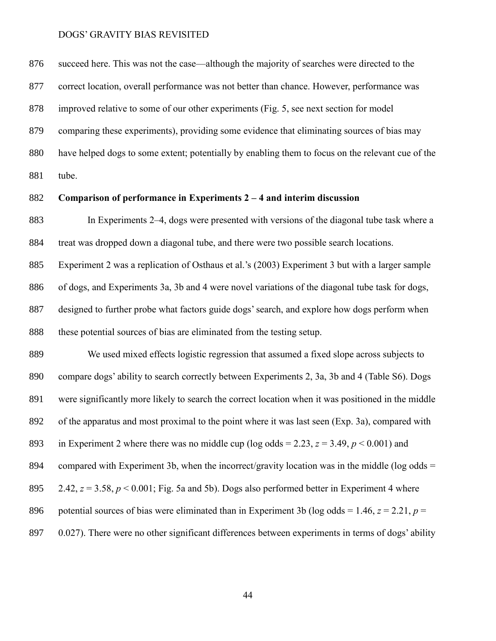succeed here. This was not the case—although the majority of searches were directed to the correct location, overall performance was not better than chance. However, performance was improved relative to some of our other experiments (Fig. 5, see next section for model comparing these experiments), providing some evidence that eliminating sources of bias may have helped dogs to some extent; potentially by enabling them to focus on the relevant cue of the tube.

# **Comparison of performance in Experiments 2 – 4 and interim discussion**

 In Experiments 2–4, dogs were presented with versions of the diagonal tube task where a treat was dropped down a diagonal tube, and there were two possible search locations.

 Experiment 2 was a replication of Osthaus et al.'s (2003) Experiment 3 but with a larger sample of dogs, and Experiments 3a, 3b and 4 were novel variations of the diagonal tube task for dogs, designed to further probe what factors guide dogs' search, and explore how dogs perform when these potential sources of bias are eliminated from the testing setup.

 We used mixed effects logistic regression that assumed a fixed slope across subjects to compare dogs' ability to search correctly between Experiments 2, 3a, 3b and 4 (Table S6). Dogs were significantly more likely to search the correct location when it was positioned in the middle of the apparatus and most proximal to the point where it was last seen (Exp. 3a), compared with 893 in Experiment 2 where there was no middle cup (log odds = 2.23,  $z = 3.49$ ,  $p < 0.001$ ) and 894 compared with Experiment 3b, when the incorrect/gravity location was in the middle (log odds  $=$ 895 2.42,  $z = 3.58$ ,  $p < 0.001$ ; Fig. 5a and 5b). Dogs also performed better in Experiment 4 where 896 potential sources of bias were eliminated than in Experiment 3b (log odds = 1.46,  $z = 2.21$ ,  $p =$ 897 0.027). There were no other significant differences between experiments in terms of dogs' ability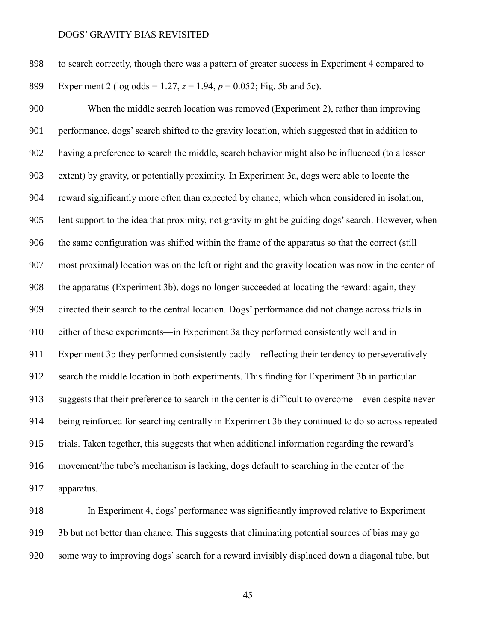| 898 | to search correctly, though there was a pattern of greater success in Experiment 4 compared to |
|-----|------------------------------------------------------------------------------------------------|
| 899 | Experiment 2 (log odds = 1.27, $z = 1.94$ , $p = 0.052$ ; Fig. 5b and 5c).                     |

 When the middle search location was removed (Experiment 2), rather than improving performance, dogs' search shifted to the gravity location, which suggested that in addition to having a preference to search the middle, search behavior might also be influenced (to a lesser extent) by gravity, or potentially proximity. In Experiment 3a, dogs were able to locate the reward significantly more often than expected by chance, which when considered in isolation, lent support to the idea that proximity, not gravity might be guiding dogs' search. However, when the same configuration was shifted within the frame of the apparatus so that the correct (still most proximal) location was on the left or right and the gravity location was now in the center of the apparatus (Experiment 3b), dogs no longer succeeded at locating the reward: again, they directed their search to the central location. Dogs' performance did not change across trials in either of these experiments—in Experiment 3a they performed consistently well and in Experiment 3b they performed consistently badly—reflecting their tendency to perseveratively search the middle location in both experiments. This finding for Experiment 3b in particular suggests that their preference to search in the center is difficult to overcome—even despite never being reinforced for searching centrally in Experiment 3b they continued to do so across repeated trials. Taken together, this suggests that when additional information regarding the reward's movement/the tube's mechanism is lacking, dogs default to searching in the center of the apparatus.

 In Experiment 4, dogs' performance was significantly improved relative to Experiment 3b but not better than chance. This suggests that eliminating potential sources of bias may go some way to improving dogs' search for a reward invisibly displaced down a diagonal tube, but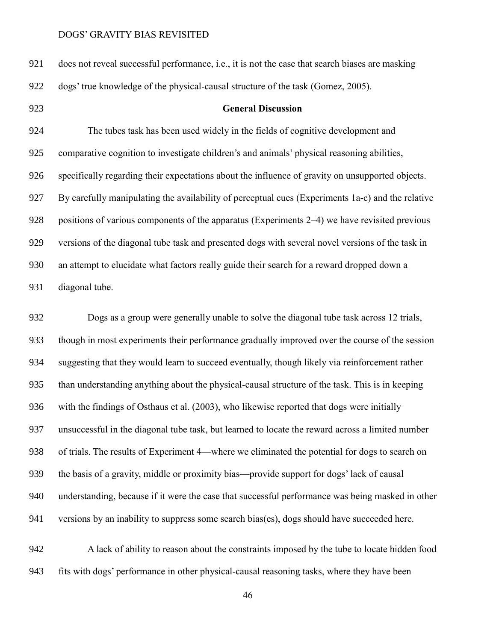does not reveal successful performance, i.e., it is not the case that search biases are masking dogs' true knowledge of the physical-causal structure of the task (Gomez, 2005).

# **General Discussion**

 The tubes task has been used widely in the fields of cognitive development and comparative cognition to investigate children's and animals' physical reasoning abilities, specifically regarding their expectations about the influence of gravity on unsupported objects. By carefully manipulating the availability of perceptual cues (Experiments 1a-c) and the relative 928 positions of various components of the apparatus (Experiments 2–4) we have revisited previous versions of the diagonal tube task and presented dogs with several novel versions of the task in an attempt to elucidate what factors really guide their search for a reward dropped down a diagonal tube.

 Dogs as a group were generally unable to solve the diagonal tube task across 12 trials, though in most experiments their performance gradually improved over the course of the session suggesting that they would learn to succeed eventually, though likely via reinforcement rather than understanding anything about the physical-causal structure of the task. This is in keeping with the findings of Osthaus et al. (2003), who likewise reported that dogs were initially unsuccessful in the diagonal tube task, but learned to locate the reward across a limited number of trials. The results of Experiment 4—where we eliminated the potential for dogs to search on the basis of a gravity, middle or proximity bias—provide support for dogs' lack of causal understanding, because if it were the case that successful performance was being masked in other versions by an inability to suppress some search bias(es), dogs should have succeeded here.

 A lack of ability to reason about the constraints imposed by the tube to locate hidden food fits with dogs' performance in other physical-causal reasoning tasks, where they have been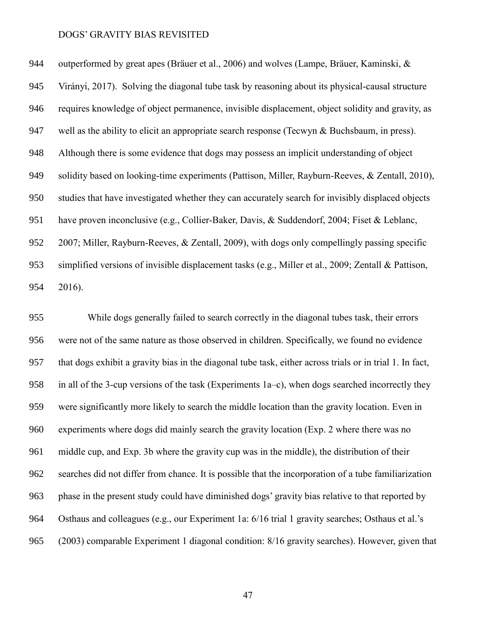outperformed by great apes (Bräuer et al., 2006) and wolves (Lampe, Bräuer, Kaminski, & Virányi, 2017). Solving the diagonal tube task by reasoning about its physical-causal structure requires knowledge of object permanence, invisible displacement, object solidity and gravity, as 947 well as the ability to elicit an appropriate search response (Tecwyn  $\&$  Buchsbaum, in press). Although there is some evidence that dogs may possess an implicit understanding of object 949 solidity based on looking-time experiments (Pattison, Miller, Rayburn-Reeves, & Zentall, 2010), studies that have investigated whether they can accurately search for invisibly displaced objects have proven inconclusive (e.g., Collier-Baker, Davis, & Suddendorf, 2004; Fiset & Leblanc, 2007; Miller, Rayburn-Reeves, & Zentall, 2009), with dogs only compellingly passing specific simplified versions of invisible displacement tasks (e.g., Miller et al., 2009; Zentall & Pattison, 2016).

 While dogs generally failed to search correctly in the diagonal tubes task, their errors were not of the same nature as those observed in children. Specifically, we found no evidence that dogs exhibit a gravity bias in the diagonal tube task, either across trials or in trial 1. In fact, in all of the 3-cup versions of the task (Experiments 1a–c), when dogs searched incorrectly they were significantly more likely to search the middle location than the gravity location. Even in experiments where dogs did mainly search the gravity location (Exp. 2 where there was no middle cup, and Exp. 3b where the gravity cup was in the middle), the distribution of their searches did not differ from chance. It is possible that the incorporation of a tube familiarization phase in the present study could have diminished dogs' gravity bias relative to that reported by Osthaus and colleagues (e.g., our Experiment 1a: 6/16 trial 1 gravity searches; Osthaus et al.'s (2003) comparable Experiment 1 diagonal condition: 8/16 gravity searches). However, given that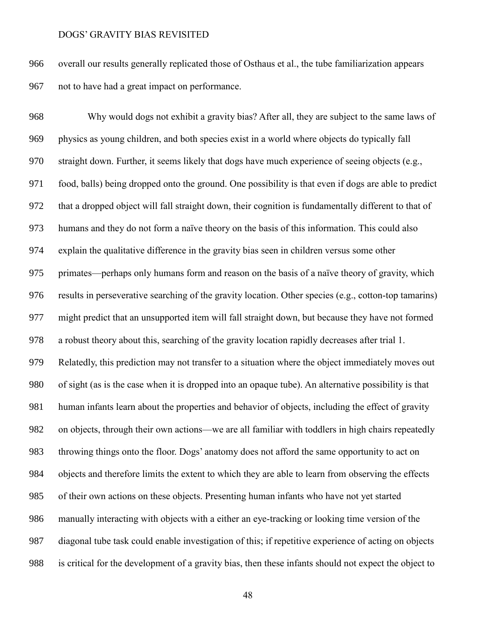overall our results generally replicated those of Osthaus et al., the tube familiarization appears not to have had a great impact on performance.

 Why would dogs not exhibit a gravity bias? After all, they are subject to the same laws of physics as young children, and both species exist in a world where objects do typically fall straight down. Further, it seems likely that dogs have much experience of seeing objects (e.g., food, balls) being dropped onto the ground. One possibility is that even if dogs are able to predict that a dropped object will fall straight down, their cognition is fundamentally different to that of humans and they do not form a naïve theory on the basis of this information. This could also explain the qualitative difference in the gravity bias seen in children versus some other primates—perhaps only humans form and reason on the basis of a naïve theory of gravity, which results in perseverative searching of the gravity location. Other species (e.g., cotton-top tamarins) might predict that an unsupported item will fall straight down, but because they have not formed a robust theory about this, searching of the gravity location rapidly decreases after trial 1. Relatedly, this prediction may not transfer to a situation where the object immediately moves out of sight (as is the case when it is dropped into an opaque tube). An alternative possibility is that human infants learn about the properties and behavior of objects, including the effect of gravity on objects, through their own actions—we are all familiar with toddlers in high chairs repeatedly throwing things onto the floor. Dogs' anatomy does not afford the same opportunity to act on objects and therefore limits the extent to which they are able to learn from observing the effects of their own actions on these objects. Presenting human infants who have not yet started manually interacting with objects with a either an eye-tracking or looking time version of the diagonal tube task could enable investigation of this; if repetitive experience of acting on objects is critical for the development of a gravity bias, then these infants should not expect the object to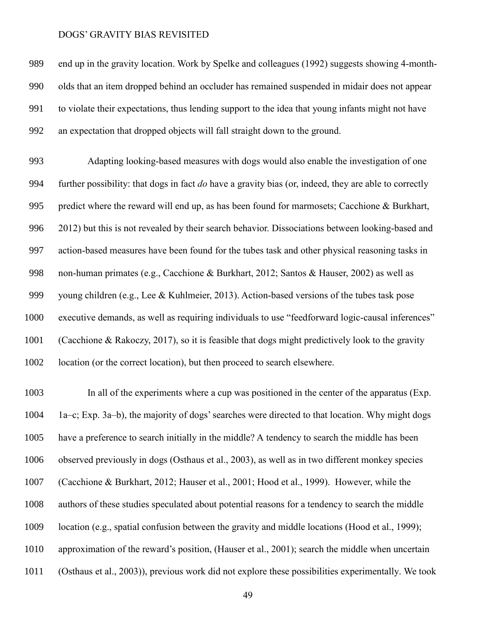end up in the gravity location. Work by Spelke and colleagues (1992) suggests showing 4-month- olds that an item dropped behind an occluder has remained suspended in midair does not appear to violate their expectations, thus lending support to the idea that young infants might not have an expectation that dropped objects will fall straight down to the ground.

 Adapting looking-based measures with dogs would also enable the investigation of one further possibility: that dogs in fact *do* have a gravity bias (or, indeed, they are able to correctly predict where the reward will end up, as has been found for marmosets; Cacchione & Burkhart, 2012) but this is not revealed by their search behavior. Dissociations between looking-based and action-based measures have been found for the tubes task and other physical reasoning tasks in non-human primates (e.g., Cacchione & Burkhart, 2012; Santos & Hauser, 2002) as well as young children (e.g., Lee & Kuhlmeier, 2013). Action-based versions of the tubes task pose executive demands, as well as requiring individuals to use "feedforward logic-causal inferences" (Cacchione & Rakoczy, 2017), so it is feasible that dogs might predictively look to the gravity location (or the correct location), but then proceed to search elsewhere.

 In all of the experiments where a cup was positioned in the center of the apparatus (Exp. 1a–c; Exp. 3a–b), the majority of dogs' searches were directed to that location. Why might dogs have a preference to search initially in the middle? A tendency to search the middle has been observed previously in dogs (Osthaus et al., 2003), as well as in two different monkey species (Cacchione & Burkhart, 2012; Hauser et al., 2001; Hood et al., 1999). However, while the authors of these studies speculated about potential reasons for a tendency to search the middle location (e.g., spatial confusion between the gravity and middle locations (Hood et al., 1999); approximation of the reward's position, (Hauser et al., 2001); search the middle when uncertain (Osthaus et al., 2003)), previous work did not explore these possibilities experimentally. We took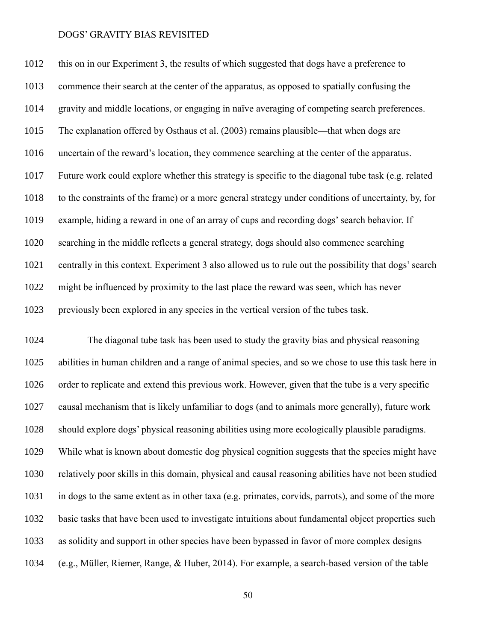this on in our Experiment 3, the results of which suggested that dogs have a preference to commence their search at the center of the apparatus, as opposed to spatially confusing the gravity and middle locations, or engaging in naïve averaging of competing search preferences. The explanation offered by Osthaus et al. (2003) remains plausible—that when dogs are uncertain of the reward's location, they commence searching at the center of the apparatus. Future work could explore whether this strategy is specific to the diagonal tube task (e.g. related to the constraints of the frame) or a more general strategy under conditions of uncertainty, by, for example, hiding a reward in one of an array of cups and recording dogs' search behavior. If searching in the middle reflects a general strategy, dogs should also commence searching centrally in this context. Experiment 3 also allowed us to rule out the possibility that dogs' search might be influenced by proximity to the last place the reward was seen, which has never previously been explored in any species in the vertical version of the tubes task.

 The diagonal tube task has been used to study the gravity bias and physical reasoning abilities in human children and a range of animal species, and so we chose to use this task here in order to replicate and extend this previous work. However, given that the tube is a very specific causal mechanism that is likely unfamiliar to dogs (and to animals more generally), future work should explore dogs' physical reasoning abilities using more ecologically plausible paradigms. While what is known about domestic dog physical cognition suggests that the species might have relatively poor skills in this domain, physical and causal reasoning abilities have not been studied in dogs to the same extent as in other taxa (e.g. primates, corvids, parrots), and some of the more basic tasks that have been used to investigate intuitions about fundamental object properties such as solidity and support in other species have been bypassed in favor of more complex designs (e.g., Müller, Riemer, Range, & Huber, 2014). For example, a search-based version of the table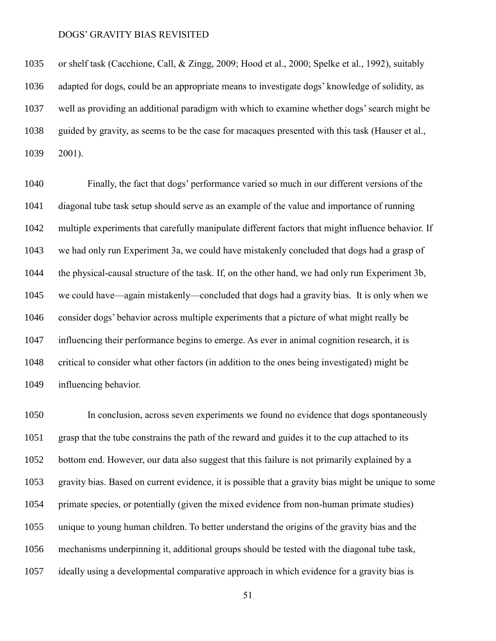or shelf task (Cacchione, Call, & Zingg, 2009; Hood et al., 2000; Spelke et al., 1992), suitably adapted for dogs, could be an appropriate means to investigate dogs' knowledge of solidity, as well as providing an additional paradigm with which to examine whether dogs' search might be guided by gravity, as seems to be the case for macaques presented with this task (Hauser et al., 2001).

 Finally, the fact that dogs' performance varied so much in our different versions of the diagonal tube task setup should serve as an example of the value and importance of running multiple experiments that carefully manipulate different factors that might influence behavior. If we had only run Experiment 3a, we could have mistakenly concluded that dogs had a grasp of the physical-causal structure of the task. If, on the other hand, we had only run Experiment 3b, we could have—again mistakenly—concluded that dogs had a gravity bias. It is only when we consider dogs' behavior across multiple experiments that a picture of what might really be influencing their performance begins to emerge. As ever in animal cognition research, it is critical to consider what other factors (in addition to the ones being investigated) might be influencing behavior.

 In conclusion, across seven experiments we found no evidence that dogs spontaneously grasp that the tube constrains the path of the reward and guides it to the cup attached to its bottom end. However, our data also suggest that this failure is not primarily explained by a gravity bias. Based on current evidence, it is possible that a gravity bias might be unique to some primate species, or potentially (given the mixed evidence from non-human primate studies) unique to young human children. To better understand the origins of the gravity bias and the mechanisms underpinning it, additional groups should be tested with the diagonal tube task, ideally using a developmental comparative approach in which evidence for a gravity bias is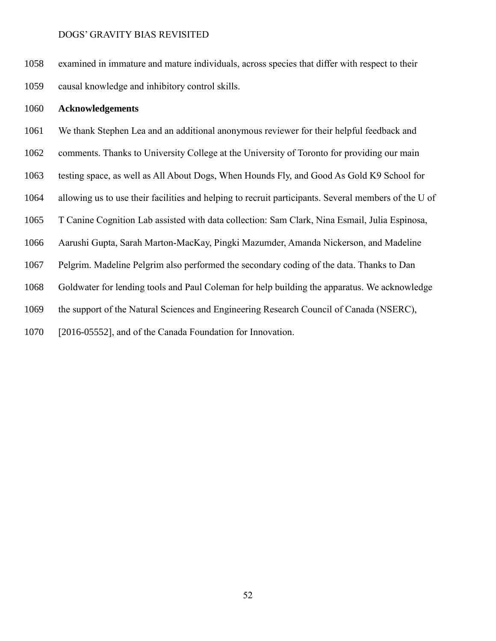examined in immature and mature individuals, across species that differ with respect to their causal knowledge and inhibitory control skills.

# **Acknowledgements**

We thank Stephen Lea and an additional anonymous reviewer for their helpful feedback and

comments. Thanks to University College at the University of Toronto for providing our main

testing space, as well as All About Dogs, When Hounds Fly, and Good As Gold K9 School for

allowing us to use their facilities and helping to recruit participants. Several members of the U of

T Canine Cognition Lab assisted with data collection: Sam Clark, Nina Esmail, Julia Espinosa,

Aarushi Gupta, Sarah Marton-MacKay, Pingki Mazumder, Amanda Nickerson, and Madeline

Pelgrim. Madeline Pelgrim also performed the secondary coding of the data. Thanks to Dan

Goldwater for lending tools and Paul Coleman for help building the apparatus. We acknowledge

the support of the Natural Sciences and Engineering Research Council of Canada (NSERC),

[2016-05552], and of the Canada Foundation for Innovation.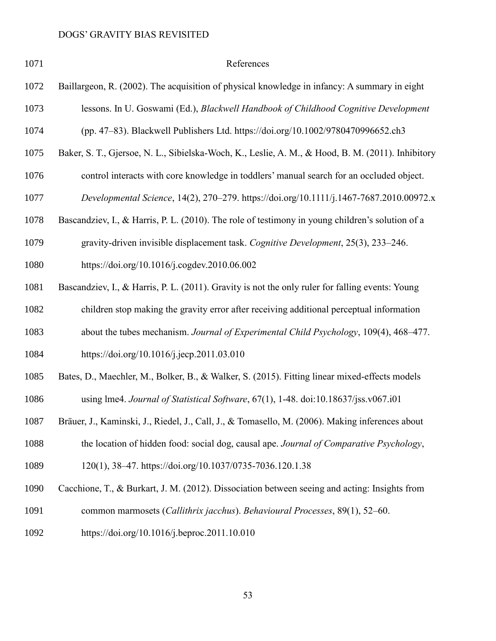| 1071 | References                                                                                        |
|------|---------------------------------------------------------------------------------------------------|
| 1072 | Baillargeon, R. (2002). The acquisition of physical knowledge in infancy: A summary in eight      |
| 1073 | lessons. In U. Goswami (Ed.), Blackwell Handbook of Childhood Cognitive Development               |
| 1074 | (pp. 47-83). Blackwell Publishers Ltd. https://doi.org/10.1002/9780470996652.ch3                  |
| 1075 | Baker, S. T., Gjersoe, N. L., Sibielska-Woch, K., Leslie, A. M., & Hood, B. M. (2011). Inhibitory |
| 1076 | control interacts with core knowledge in toddlers' manual search for an occluded object.          |
| 1077 | Developmental Science, 14(2), 270-279. https://doi.org/10.1111/j.1467-7687.2010.00972.x           |
| 1078 | Bascandziev, I., & Harris, P. L. (2010). The role of testimony in young children's solution of a  |
| 1079 | gravity-driven invisible displacement task. Cognitive Development, 25(3), 233–246.                |
| 1080 | https://doi.org/10.1016/j.cogdev.2010.06.002                                                      |
| 1081 | Bascandziev, I., & Harris, P. L. (2011). Gravity is not the only ruler for falling events: Young  |
| 1082 | children stop making the gravity error after receiving additional perceptual information          |
| 1083 | about the tubes mechanism. Journal of Experimental Child Psychology, 109(4), 468-477.             |
| 1084 | https://doi.org/10.1016/j.jecp.2011.03.010                                                        |
| 1085 | Bates, D., Maechler, M., Bolker, B., & Walker, S. (2015). Fitting linear mixed-effects models     |
| 1086 | using lme4. Journal of Statistical Software, 67(1), 1-48. doi:10.18637/jss.v067.i01               |
| 1087 | Bräuer, J., Kaminski, J., Riedel, J., Call, J., & Tomasello, M. (2006). Making inferences about   |
| 1088 | the location of hidden food: social dog, causal ape. Journal of Comparative Psychology,           |
| 1089 | 120(1), 38–47. https://doi.org/10.1037/0735-7036.120.1.38                                         |
| 1090 | Cacchione, T., & Burkart, J. M. (2012). Dissociation between seeing and acting: Insights from     |
| 1091 | common marmosets (Callithrix jacchus). Behavioural Processes, 89(1), 52–60.                       |
|      |                                                                                                   |

https://doi.org/10.1016/j.beproc.2011.10.010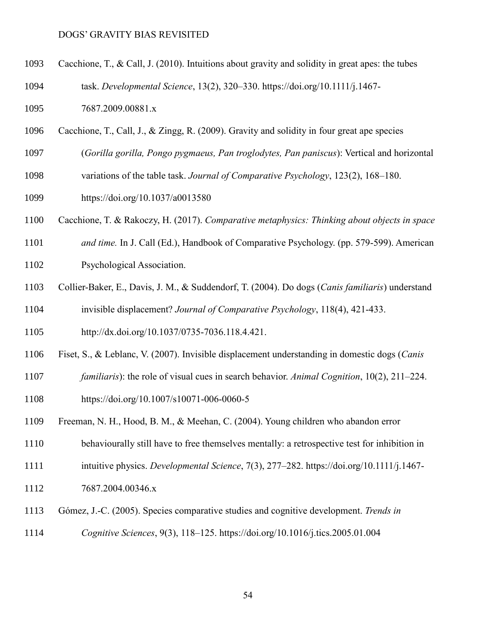- Cacchione, T., & Call, J. (2010). Intuitions about gravity and solidity in great apes: the tubes
- task. *Developmental Science*, 13(2), 320–330. https://doi.org/10.1111/j.1467-
- 7687.2009.00881.x
- Cacchione, T., Call, J., & Zingg, R. (2009). Gravity and solidity in four great ape species
- (*Gorilla gorilla, Pongo pygmaeus, Pan troglodytes, Pan paniscus*): Vertical and horizontal
- variations of the table task. *Journal of Comparative Psychology*, 123(2), 168–180.
- https://doi.org/10.1037/a0013580
- Cacchione, T. & Rakoczy, H. (2017). *Comparative metaphysics: Thinking about objects in space*
- *and time.* In J. Call (Ed.), Handbook of Comparative Psychology. (pp. 579-599). American
- Psychological Association.
- Collier-Baker, E., Davis, J. M., & Suddendorf, T. (2004). Do dogs (*Canis familiaris*) understand invisible displacement? *Journal of Comparative Psychology*, 118(4), 421-433.
- http://dx.doi.org/10.1037/0735-7036.118.4.421.
- Fiset, S., & Leblanc, V. (2007). Invisible displacement understanding in domestic dogs (*Canis*
- *familiaris*): the role of visual cues in search behavior. *Animal Cognition*, 10(2), 211–224.
- https://doi.org/10.1007/s10071-006-0060-5
- Freeman, N. H., Hood, B. M., & Meehan, C. (2004). Young children who abandon error
- behaviourally still have to free themselves mentally: a retrospective test for inhibition in
- intuitive physics. *Developmental Science*, 7(3), 277–282. https://doi.org/10.1111/j.1467-
- 7687.2004.00346.x
- Gómez, J.-C. (2005). Species comparative studies and cognitive development. *Trends in*
- *Cognitive Sciences*, 9(3), 118–125. https://doi.org/10.1016/j.tics.2005.01.004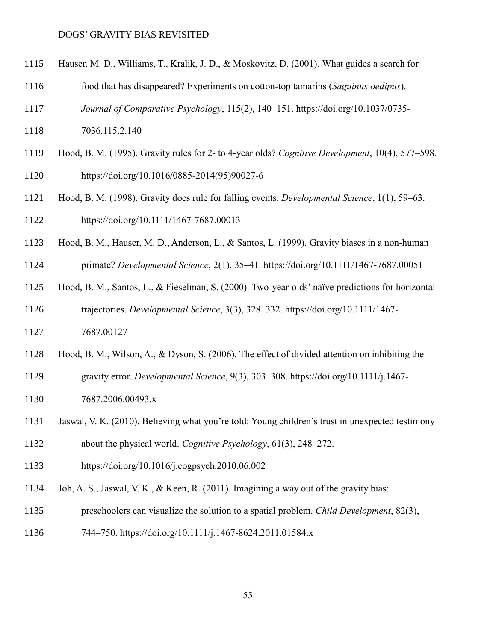- Hauser, M. D., Williams, T., Kralik, J. D., & Moskovitz, D. (2001). What guides a search for
- food that has disappeared? Experiments on cotton-top tamarins (*Saguinus oedipus*).
- *Journal of Comparative Psychology*, 115(2), 140–151. https://doi.org/10.1037/0735-
- 7036.115.2.140
- Hood, B. M. (1995). Gravity rules for 2- to 4-year olds? *Cognitive Development*, 10(4), 577–598. https://doi.org/10.1016/0885-2014(95)90027-6
- Hood, B. M. (1998). Gravity does rule for falling events. *Developmental Science*, 1(1), 59–63. https://doi.org/10.1111/1467-7687.00013
- Hood, B. M., Hauser, M. D., Anderson, L., & Santos, L. (1999). Gravity biases in a non-human
- primate? *Developmental Science*, 2(1), 35–41. https://doi.org/10.1111/1467-7687.00051
- Hood, B. M., Santos, L., & Fieselman, S. (2000). Two-year-olds' naïve predictions for horizontal trajectories. *Developmental Science*, 3(3), 328–332. https://doi.org/10.1111/1467-
- 7687.00127
- Hood, B. M., Wilson, A., & Dyson, S. (2006). The effect of divided attention on inhibiting the
- gravity error. *Developmental Science*, 9(3), 303–308. https://doi.org/10.1111/j.1467-
- 7687.2006.00493.x
- Jaswal, V. K. (2010). Believing what you're told: Young children's trust in unexpected testimony
- about the physical world. *Cognitive Psychology*, 61(3), 248–272.
- https://doi.org/10.1016/j.cogpsych.2010.06.002
- Joh, A. S., Jaswal, V. K., & Keen, R. (2011). Imagining a way out of the gravity bias:
- preschoolers can visualize the solution to a spatial problem. *Child Development*, 82(3),
- 744–750. https://doi.org/10.1111/j.1467-8624.2011.01584.x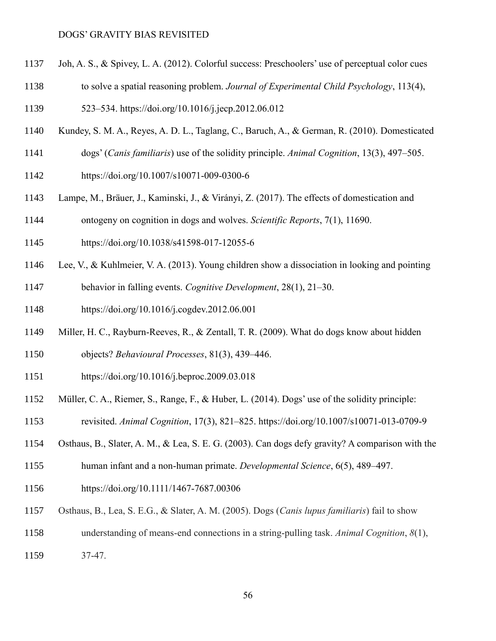- Joh, A. S., & Spivey, L. A. (2012). Colorful success: Preschoolers' use of perceptual color cues
- to solve a spatial reasoning problem. *Journal of Experimental Child Psychology*, 113(4),

523–534. https://doi.org/10.1016/j.jecp.2012.06.012

- Kundey, S. M. A., Reyes, A. D. L., Taglang, C., Baruch, A., & German, R. (2010). Domesticated
- dogs' (*Canis familiaris*) use of the solidity principle. *Animal Cognition*, 13(3), 497–505.
- https://doi.org/10.1007/s10071-009-0300-6
- Lampe, M., Bräuer, J., Kaminski, J., & Virányi, Z. (2017). The effects of domestication and
- ontogeny on cognition in dogs and wolves. *Scientific Reports*, 7(1), 11690.
- https://doi.org/10.1038/s41598-017-12055-6
- Lee, V., & Kuhlmeier, V. A. (2013). Young children show a dissociation in looking and pointing
- behavior in falling events. *Cognitive Development*, 28(1), 21–30.
- https://doi.org/10.1016/j.cogdev.2012.06.001
- Miller, H. C., Rayburn-Reeves, R., & Zentall, T. R. (2009). What do dogs know about hidden
- objects? *Behavioural Processes*, 81(3), 439–446.
- https://doi.org/10.1016/j.beproc.2009.03.018
- Müller, C. A., Riemer, S., Range, F., & Huber, L. (2014). Dogs' use of the solidity principle:
- revisited. *Animal Cognition*, 17(3), 821–825. https://doi.org/10.1007/s10071-013-0709-9
- Osthaus, B., Slater, A. M., & Lea, S. E. G. (2003). Can dogs defy gravity? A comparison with the
- human infant and a non-human primate. *Developmental Science*, 6(5), 489–497.
- https://doi.org/10.1111/1467-7687.00306
- Osthaus, B., Lea, S. E.G., & Slater, A. M. (2005). Dogs (*Canis lupus familiaris*) fail to show
- understanding of means-end connections in a string-pulling task. *Animal Cognition*, *8*(1),
- 37-47.